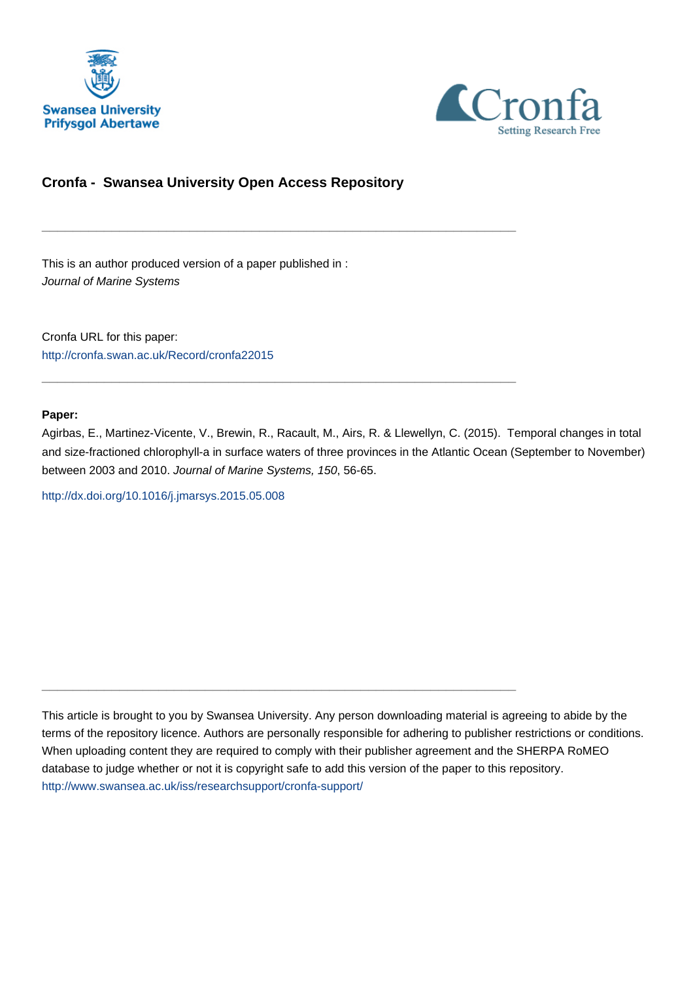



## **Cronfa - Swansea University Open Access Repository**

\_\_\_\_\_\_\_\_\_\_\_\_\_\_\_\_\_\_\_\_\_\_\_\_\_\_\_\_\_\_\_\_\_\_\_\_\_\_\_\_\_\_\_\_\_\_\_\_\_\_\_\_\_\_\_\_\_\_\_\_\_

 $\_$  , and the set of the set of the set of the set of the set of the set of the set of the set of the set of the set of the set of the set of the set of the set of the set of the set of the set of the set of the set of th

\_\_\_\_\_\_\_\_\_\_\_\_\_\_\_\_\_\_\_\_\_\_\_\_\_\_\_\_\_\_\_\_\_\_\_\_\_\_\_\_\_\_\_\_\_\_\_\_\_\_\_\_\_\_\_\_\_\_\_\_\_

This is an author produced version of a paper published in : Journal of Marine Systems

Cronfa URL for this paper: <http://cronfa.swan.ac.uk/Record/cronfa22015>

#### **Paper:**

Agirbas, E., Martinez-Vicente, V., Brewin, R., Racault, M., Airs, R. & Llewellyn, C. (2015). Temporal changes in total and size-fractioned chlorophyll-a in surface waters of three provinces in the Atlantic Ocean (September to November) between 2003 and 2010. Journal of Marine Systems, 150, 56-65.

<http://dx.doi.org/10.1016/j.jmarsys.2015.05.008>

This article is brought to you by Swansea University. Any person downloading material is agreeing to abide by the terms of the repository licence. Authors are personally responsible for adhering to publisher restrictions or conditions. When uploading content they are required to comply with their publisher agreement and the SHERPA RoMEO database to judge whether or not it is copyright safe to add this version of the paper to this repository. [http://www.swansea.ac.uk/iss/researchsupport/cronfa-support/](http://www.swansea.ac.uk/iss/researchsupport/cronfa-support/ )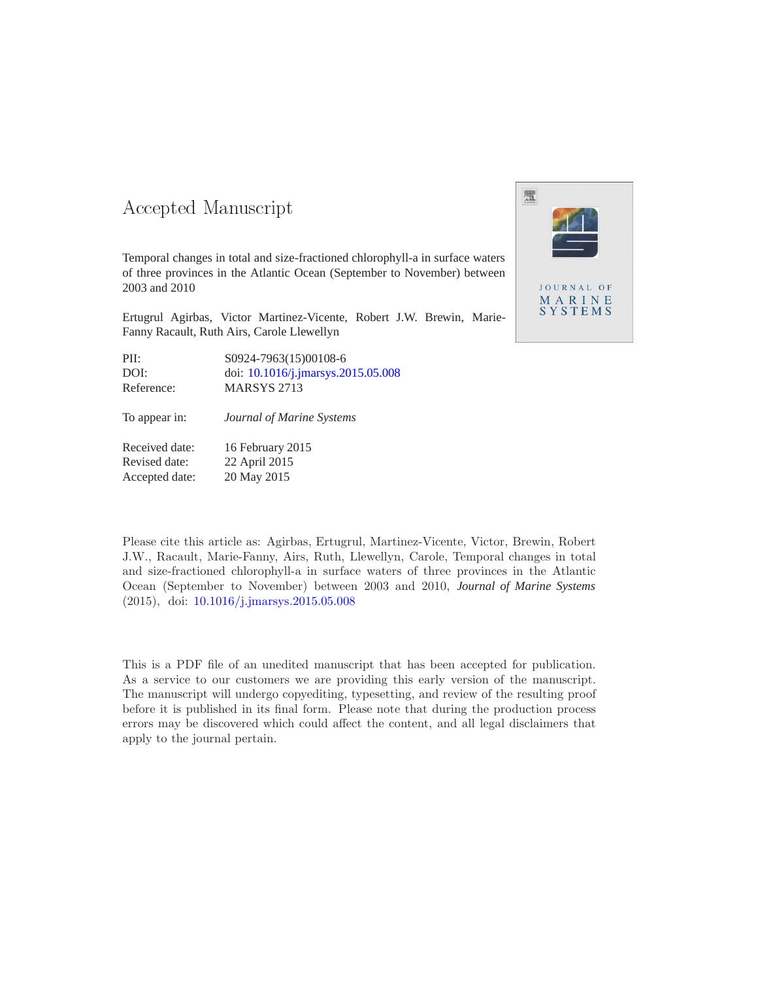# -- -

Temporal changes in total and size-fractioned chlorophyll-a in surface waters of three provinces in the Atlantic Ocean (September to November) between 2003 and 2010

Ertugrul Agirbas, Victor Martinez-Vicente, Robert J.W. Brewin, Marie-Fanny Racault, Ruth Airs, Carole Llewellyn

| PII:       | S0924-7963(15)00108-6                 |
|------------|---------------------------------------|
| DOI:       | doi: $10.1016$ /j.jmarsys.2015.05.008 |
| Reference: | <b>MARSYS 2713</b>                    |
|            |                                       |

To appear in: *Journal of Marine Systems*

Received date: 16 February 2015 Revised date: 22 April 2015 Accepted date: 20 May 2015

Please cite this article as: Agirbas, Ertugrul, Martinez-Vicente, Victor, Brewin, Robert J.W., Racault, Marie-Fanny, Airs, Ruth, Llewellyn, Carole, Temporal changes in total and size-fractioned chlorophyll-a in surface waters of three provinces in the Atlantic Ocean (September to November) between 2003 and 2010, *Journal of Marine Systems* (2015), doi: 10.1016/j.jmarsys.2015.05.008

This is a PDF file of an unedited manuscript that has been accepted for publication. As a service to our customers we are providing this early version of the manuscript. The manuscript will undergo copyediting, typesetting, and review of the resulting proof before it is published in its final form. Please note that during the production process errors may be discovered which could affect the content, and all legal disclaimers that apply to the journal pertain.

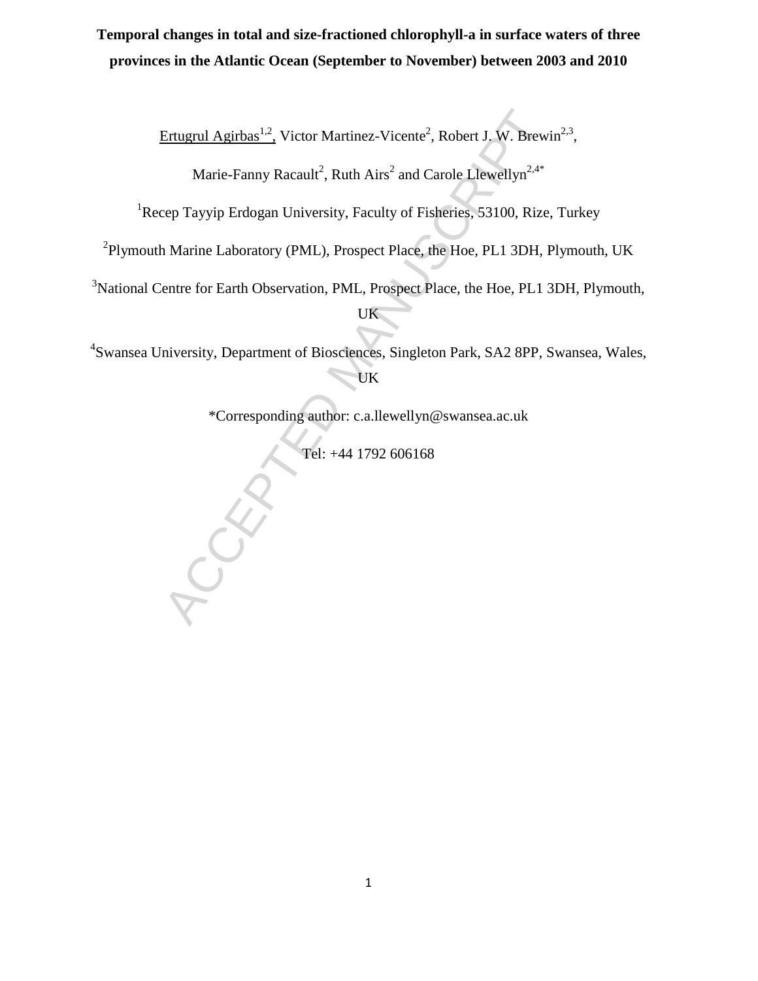# **Temporal changes in total and size-fractioned chlorophyll-a in surface waters of three provinces in the Atlantic Ocean (September to November) between 2003 and 2010**

Ertugrul Agirbas<sup>1,2</sup>, Victor Martinez-Vicente<sup>2</sup>, Robert J. W. Brewin<sup>2,3</sup>,

Marie-Fanny Racault<sup>2</sup>, Ruth Airs<sup>2</sup> and Carole Llewellyn<sup>2,4\*</sup>

<sup>1</sup>Recep Tayyip Erdogan University, Faculty of Fisheries, 53100, Rize, Turkey

<sup>2</sup>Plymouth Marine Laboratory (PML), Prospect Place, the Hoe, PL1 3DH, Plymouth, UK

<sup>3</sup>National Centre for Earth Observation, PML, Prospect Place, the Hoe, PL1 3DH, Plymouth, UK

Ertugrul Agirbas<sup>1,2</sup>, Victor Martinez-Vicente<sup>2</sup>, Robert J. W. Brewi<br>Marie-Fanny Racault<sup>2</sup>, Ruth Airs<sup>2</sup> and Carole Llewellyn<sup>2,4+</sup><br>zep Tayyip Erdogan University, Faculty of Fisheries, 53100, Rize,<br>1 Marine Laboratory (P 4 Swansea University, Department of Biosciences, Singleton Park, SA2 8PP, Swansea, Wales, UK

\*Corresponding author: c.a.llewellyn@swansea.ac.uk

Tel: +44 1792 606168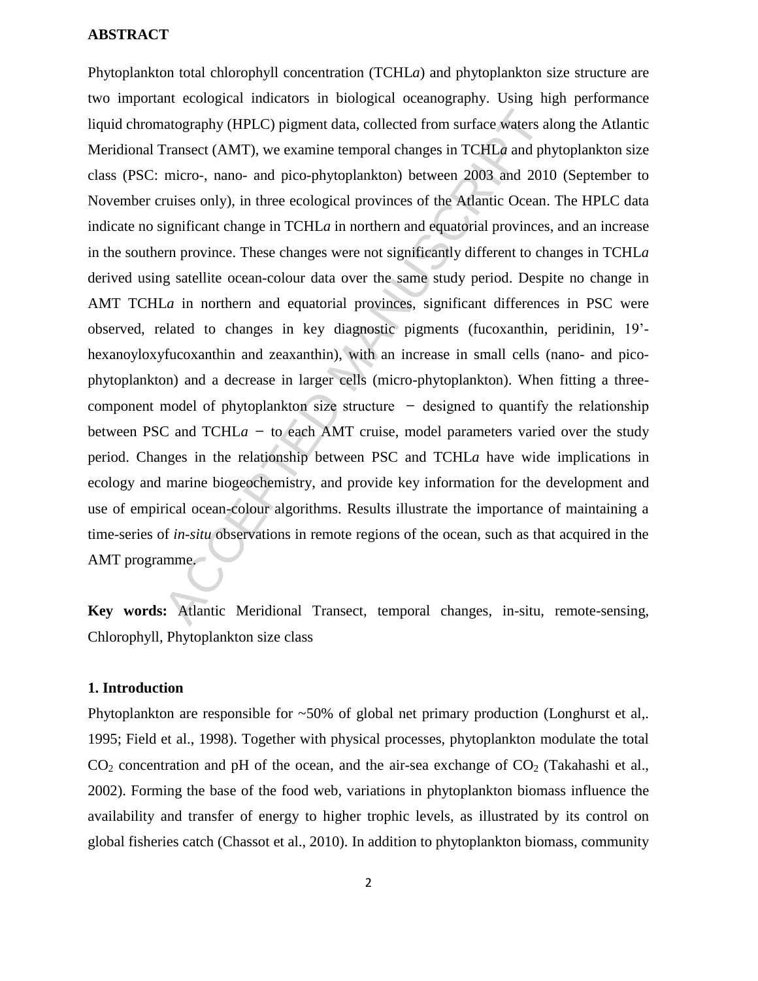## **ABSTRACT**

atography (HPLC) pigment data, collected from surface waters al<br>
ransect (AMT), we examine temporal changes in TCHLa and phymicro-, nano- and pico-phytoplankton) between 2003 and 2010<br>
ruises only), in three ecological pr Phytoplankton total chlorophyll concentration (TCHL*a*) and phytoplankton size structure are two important ecological indicators in biological oceanography. Using high performance liquid chromatography (HPLC) pigment data, collected from surface waters along the Atlantic Meridional Transect (AMT), we examine temporal changes in TCHL*a* and phytoplankton size class (PSC: micro-, nano- and pico-phytoplankton) between 2003 and 2010 (September to November cruises only), in three ecological provinces of the Atlantic Ocean. The HPLC data indicate no significant change in TCHL*a* in northern and equatorial provinces, and an increase in the southern province. These changes were not significantly different to changes in TCHL*a* derived using satellite ocean-colour data over the same study period. Despite no change in AMT TCHLa in northern and equatorial provinces, significant differences in PSC were observed, related to changes in key diagnostic pigments (fucoxanthin, peridinin, 19' hexanoyloxyfucoxanthin and zeaxanthin), with an increase in small cells (nano- and picophytoplankton) and a decrease in larger cells (micro-phytoplankton). When fitting a threecomponent model of phytoplankton size structure  $-$  designed to quantify the relationship between PSC and TCHL $a$  - to each AMT cruise, model parameters varied over the study period. Changes in the relationship between PSC and TCHL*a* have wide implications in ecology and marine biogeochemistry, and provide key information for the development and use of empirical ocean-colour algorithms. Results illustrate the importance of maintaining a time-series of *in-situ* observations in remote regions of the ocean, such as that acquired in the AMT programme.

**Key words:** Atlantic Meridional Transect, temporal changes, in-situ, remote-sensing, Chlorophyll, Phytoplankton size class

## **1. Introduction**

Phytoplankton are responsible for ~50% of global net primary production (Longhurst et al,. 1995; Field et al., 1998). Together with physical processes, phytoplankton modulate the total  $CO<sub>2</sub>$  concentration and pH of the ocean, and the air-sea exchange of  $CO<sub>2</sub>$  (Takahashi et al., 2002). Forming the base of the food web, variations in phytoplankton biomass influence the availability and transfer of energy to higher trophic levels, as illustrated by its control on global fisheries catch (Chassot et al., 2010). In addition to phytoplankton biomass, community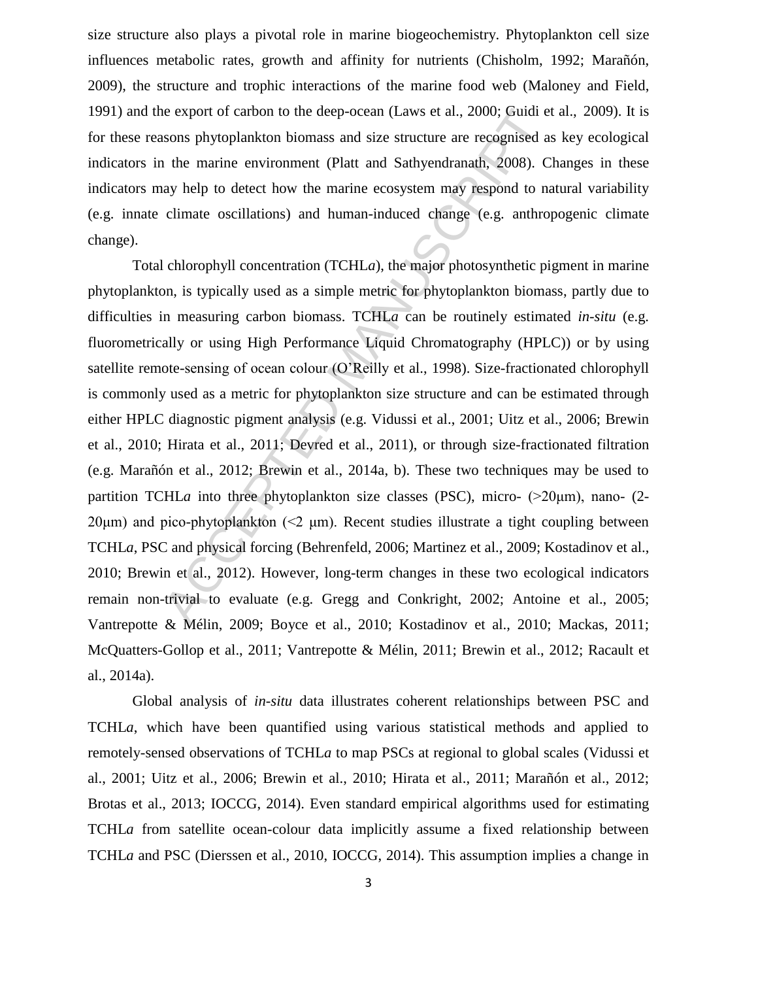size structure also plays a pivotal role in marine biogeochemistry. Phytoplankton cell size influences metabolic rates, growth and affinity for nutrients (Chisholm, 1992; Marañón, 2009), the structure and trophic interactions of the marine food web (Maloney and Field, 1991) and the export of carbon to the deep-ocean (Laws et al., 2000; Guidi et al., 2009). It is for these reasons phytoplankton biomass and size structure are recognised as key ecological indicators in the marine environment (Platt and Sathyendranath, 2008). Changes in these indicators may help to detect how the marine ecosystem may respond to natural variability (e.g. innate climate oscillations) and human-induced change (e.g. anthropogenic climate change).

ie export of carbon to the deep-ocean (Laws et al., 2000; Guidi et<br>sons phytoplankton biomass and size structure are recognised as<br>the marine environment (Platt and Sathyendranath, 2008). C<br>ay help to detect how the marin Total chlorophyll concentration (TCHL*a*), the major photosynthetic pigment in marine phytoplankton, is typically used as a simple metric for phytoplankton biomass, partly due to difficulties in measuring carbon biomass. TCHL*a* can be routinely estimated *in-situ* (e.g. fluorometrically or using High Performance Liquid Chromatography (HPLC)) or by using satellite remote-sensing of ocean colour (O'Reilly et al., 1998). Size-fractionated chlorophyll is commonly used as a metric for phytoplankton size structure and can be estimated through either HPLC diagnostic pigment analysis (e.g. Vidussi et al., 2001; Uitz et al., 2006; Brewin et al., 2010; Hirata et al., 2011; Devred et al., 2011), or through size-fractionated filtration (e.g. Marañón et al., 2012; Brewin et al., 2014a, b). These two techniques may be used to partition TCHL*a* into three phytoplankton size classes (PSC), micro-  $(20\mu m)$ , nano-  $(2 20\mu$ m) and pico-phytoplankton ( $\leq$   $\mu$ m). Recent studies illustrate a tight coupling between TCHL*a*, PSC and physical forcing (Behrenfeld, 2006; Martinez et al., 2009; Kostadinov et al., 2010; Brewin et al., 2012). However, long-term changes in these two ecological indicators remain non-trivial to evaluate (e.g. Gregg and Conkright, 2002; Antoine et al., 2005; Vantrepotte & Mélin, 2009; Boyce et al., 2010; Kostadinov et al., 2010; Mackas, 2011; McQuatters-Gollop et al., 2011; Vantrepotte & Mélin, 2011; Brewin et al., 2012; Racault et al., 2014a).

Global analysis of *in-situ* data illustrates coherent relationships between PSC and TCHL*a*, which have been quantified using various statistical methods and applied to remotely-sensed observations of TCHL*a* to map PSCs at regional to global scales (Vidussi et al., 2001; Uitz et al., 2006; Brewin et al., 2010; Hirata et al., 2011; Marañón et al., 2012; Brotas et al., 2013; IOCCG, 2014). Even standard empirical algorithms used for estimating TCHL*a* from satellite ocean-colour data implicitly assume a fixed relationship between TCHL*a* and PSC (Dierssen et al., 2010, IOCCG, 2014). This assumption implies a change in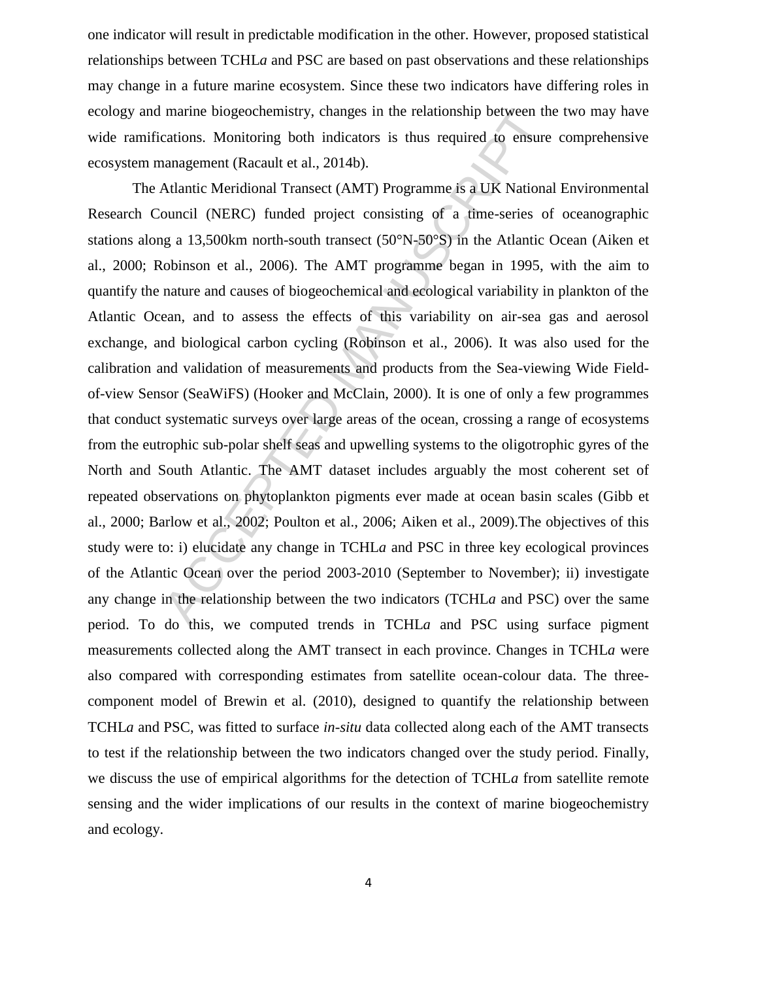one indicator will result in predictable modification in the other. However, proposed statistical relationships between TCHL*a* and PSC are based on past observations and these relationships may change in a future marine ecosystem. Since these two indicators have differing roles in ecology and marine biogeochemistry, changes in the relationship between the two may have wide ramifications. Monitoring both indicators is thus required to ensure comprehensive ecosystem management (Racault et al., 2014b).

marine biogeochemistry, changes in the relationship between the<br>ations. Monitoring both indicators is thus required to ensure<br>anagement (Racault et al., 2014b).<br>Atlantic Meridional Transect (AMT) Programme is a UK Nationa The Atlantic Meridional Transect (AMT) Programme is a UK National Environmental Research Council (NERC) funded project consisting of a time-series of oceanographic stations along a 13,500km north-south transect (50°N-50°S) in the Atlantic Ocean (Aiken et al., 2000; Robinson et al., 2006). The AMT programme began in 1995, with the aim to quantify the nature and causes of biogeochemical and ecological variability in plankton of the Atlantic Ocean, and to assess the effects of this variability on air-sea gas and aerosol exchange, and biological carbon cycling (Robinson et al., 2006). It was also used for the calibration and validation of measurements and products from the Sea-viewing Wide Fieldof-view Sensor (SeaWiFS) (Hooker and McClain, 2000). It is one of only a few programmes that conduct systematic surveys over large areas of the ocean, crossing a range of ecosystems from the eutrophic sub-polar shelf seas and upwelling systems to the oligotrophic gyres of the North and South Atlantic. The AMT dataset includes arguably the most coherent set of repeated observations on phytoplankton pigments ever made at ocean basin scales (Gibb et al., 2000; Barlow et al., 2002; Poulton et al., 2006; Aiken et al., 2009).The objectives of this study were to: i) elucidate any change in TCHL*a* and PSC in three key ecological provinces of the Atlantic Ocean over the period 2003-2010 (September to November); ii) investigate any change in the relationship between the two indicators (TCHL*a* and PSC) over the same period. To do this, we computed trends in TCHL*a* and PSC using surface pigment measurements collected along the AMT transect in each province. Changes in TCHL*a* were also compared with corresponding estimates from satellite ocean-colour data. The threecomponent model of Brewin et al. (2010), designed to quantify the relationship between TCHL*a* and PSC, was fitted to surface *in-situ* data collected along each of the AMT transects to test if the relationship between the two indicators changed over the study period. Finally, we discuss the use of empirical algorithms for the detection of TCHL*a* from satellite remote sensing and the wider implications of our results in the context of marine biogeochemistry and ecology.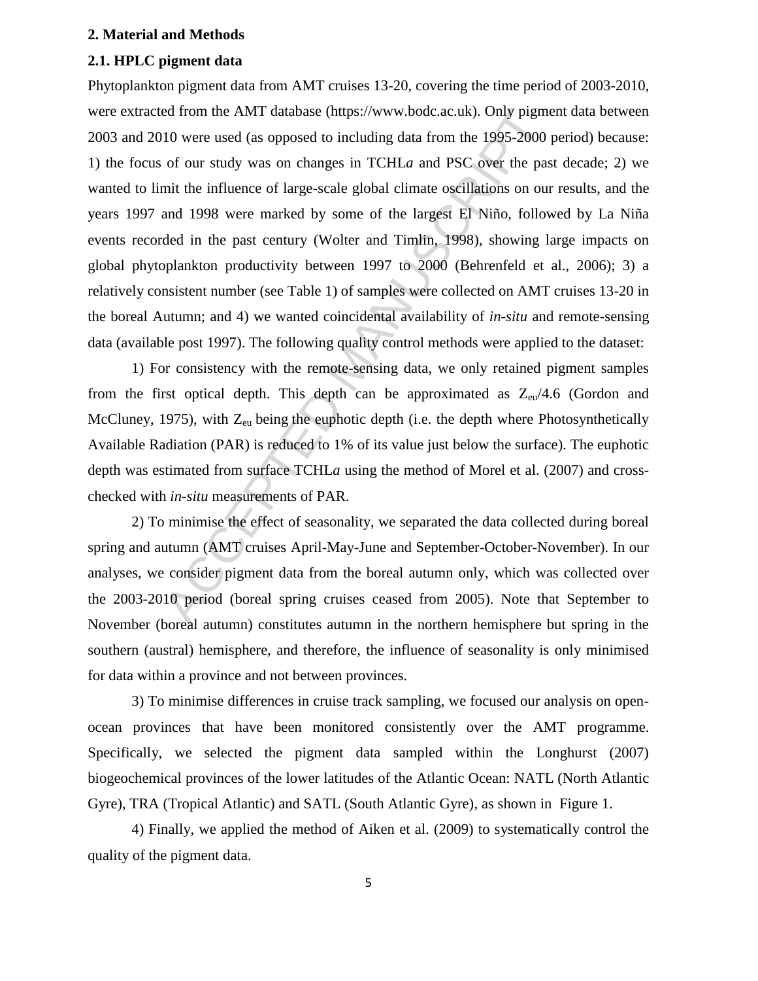### **2. Material and Methods**

## **2.1. HPLC pigment data**

ed from the AMT database (https://www.bodc.ac.uk). Only pigme<br>10 were used (as opposed to including data from the 1995-2000 p<br>of our study was on changes in TCHLa and PSC over the pas<br>mit the influence of large-scale glob Phytoplankton pigment data from AMT cruises 13-20, covering the time period of 2003-2010, were extracted from the AMT database (https://www.bodc.ac.uk). Only pigment data between 2003 and 2010 were used (as opposed to including data from the 1995-2000 period) because: 1) the focus of our study was on changes in TCHL*a* and PSC over the past decade; 2) we wanted to limit the influence of large-scale global climate oscillations on our results, and the years 1997 and 1998 were marked by some of the largest El Niño, followed by La Niña events recorded in the past century (Wolter and Timlin, 1998), showing large impacts on global phytoplankton productivity between 1997 to 2000 (Behrenfeld et al., 2006); 3) a relatively consistent number (see Table 1) of samples were collected on AMT cruises 13-20 in the boreal Autumn; and 4) we wanted coincidental availability of *in-situ* and remote-sensing data (available post 1997). The following quality control methods were applied to the dataset:

1) For consistency with the remote-sensing data, we only retained pigment samples from the first optical depth. This depth can be approximated as  $Z_{\text{eu}}/4.6$  (Gordon and McCluney, 1975), with  $Z_{\text{eu}}$  being the euphotic depth (i.e. the depth where Photosynthetically Available Radiation (PAR) is reduced to 1% of its value just below the surface). The euphotic depth was estimated from surface TCHL*a* using the method of Morel et al. (2007) and crosschecked with *in-situ* measurements of PAR.

2) To minimise the effect of seasonality, we separated the data collected during boreal spring and autumn (AMT cruises April-May-June and September-October-November). In our analyses, we consider pigment data from the boreal autumn only, which was collected over the 2003-2010 period (boreal spring cruises ceased from 2005). Note that September to November (boreal autumn) constitutes autumn in the northern hemisphere but spring in the southern (austral) hemisphere, and therefore, the influence of seasonality is only minimised for data within a province and not between provinces.

3) To minimise differences in cruise track sampling, we focused our analysis on openocean provinces that have been monitored consistently over the AMT programme. Specifically, we selected the pigment data sampled within the Longhurst (2007) biogeochemical provinces of the lower latitudes of the Atlantic Ocean: NATL (North Atlantic Gyre), TRA (Tropical Atlantic) and SATL (South Atlantic Gyre), as shown in Figure 1.

4) Finally, we applied the method of Aiken et al. (2009) to systematically control the quality of the pigment data.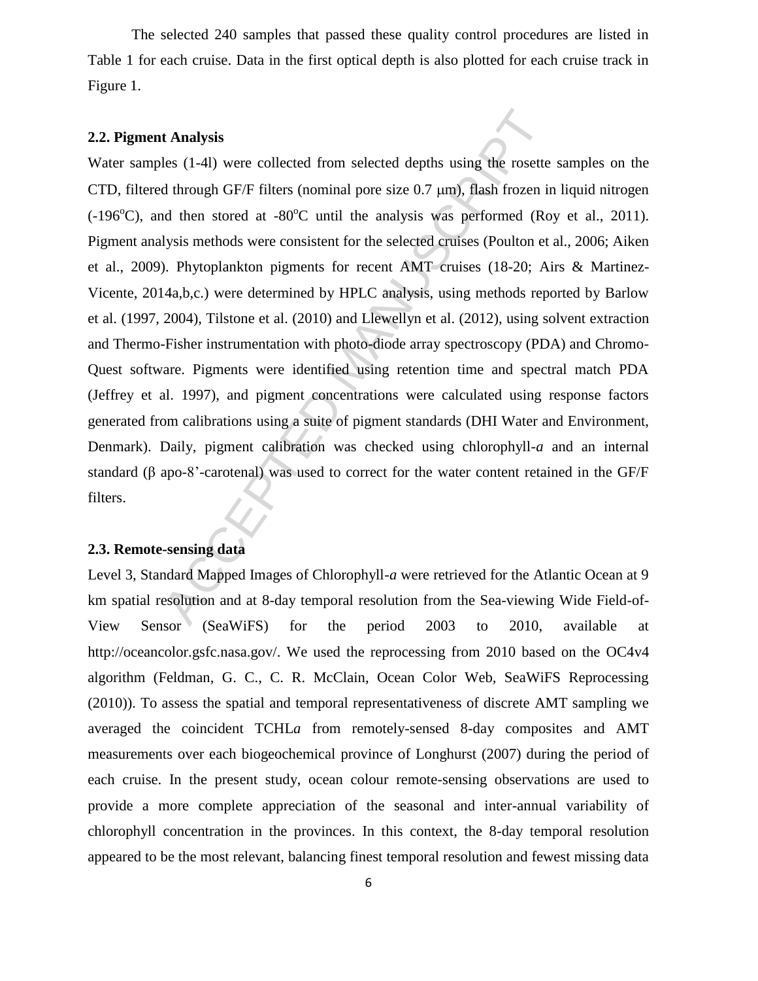The selected 240 samples that passed these quality control procedures are listed in Table 1 for each cruise. Data in the first optical depth is also plotted for each cruise track in Figure 1.

#### **2.2. Pigment Analysis**

**t Analysis**<br>
tes (1-41) were collected from selected depths using the rosette<br>
d through GF/F filters (nominal pore size 0.7 µm), flash frozen in<br>
d then stored at -80°C until the analysis was performed (Ro<br>
1ysis method Water samples (1-4l) were collected from selected depths using the rosette samples on the CTD, filtered through GF/F filters (nominal pore size  $0.7 \mu m$ ), flash frozen in liquid nitrogen  $(-196^{\circ}C)$ , and then stored at  $-80^{\circ}C$  until the analysis was performed (Roy et al., 2011). Pigment analysis methods were consistent for the selected cruises (Poulton et al., 2006; Aiken et al., 2009). Phytoplankton pigments for recent AMT cruises (18-20; Airs & Martinez-Vicente, 2014a,b,c.) were determined by HPLC analysis, using methods reported by Barlow et al. (1997, 2004), Tilstone et al. (2010) and Llewellyn et al. (2012), using solvent extraction and Thermo-Fisher instrumentation with photo-diode array spectroscopy (PDA) and Chromo-Quest software. Pigments were identified using retention time and spectral match PDA (Jeffrey et al. 1997), and pigment concentrations were calculated using response factors generated from calibrations using a suite of pigment standards (DHI Water and Environment, Denmark). Daily, pigment calibration was checked using chlorophyll-*a* and an internal standard (β apo-8'-carotenal) was used to correct for the water content retained in the GF/F filters.

#### **2.3. Remote-sensing data**

Level 3, Standard Mapped Images of Chlorophyll-*a* were retrieved for the Atlantic Ocean at 9 km spatial resolution and at 8-day temporal resolution from the Sea-viewing Wide Field-of-View Sensor (SeaWiFS) for the period 2003 to 2010, available at http://oceancolor.gsfc.nasa.gov/. We used the reprocessing from 2010 based on the OC4v4 algorithm (Feldman, G. C., C. R. McClain, Ocean Color Web, SeaWiFS Reprocessing (2010)). To assess the spatial and temporal representativeness of discrete AMT sampling we averaged the coincident TCHL*a* from remotely-sensed 8-day composites and AMT measurements over each biogeochemical province of Longhurst (2007) during the period of each cruise. In the present study, ocean colour remote-sensing observations are used to provide a more complete appreciation of the seasonal and inter-annual variability of chlorophyll concentration in the provinces. In this context, the 8-day temporal resolution appeared to be the most relevant, balancing finest temporal resolution and fewest missing data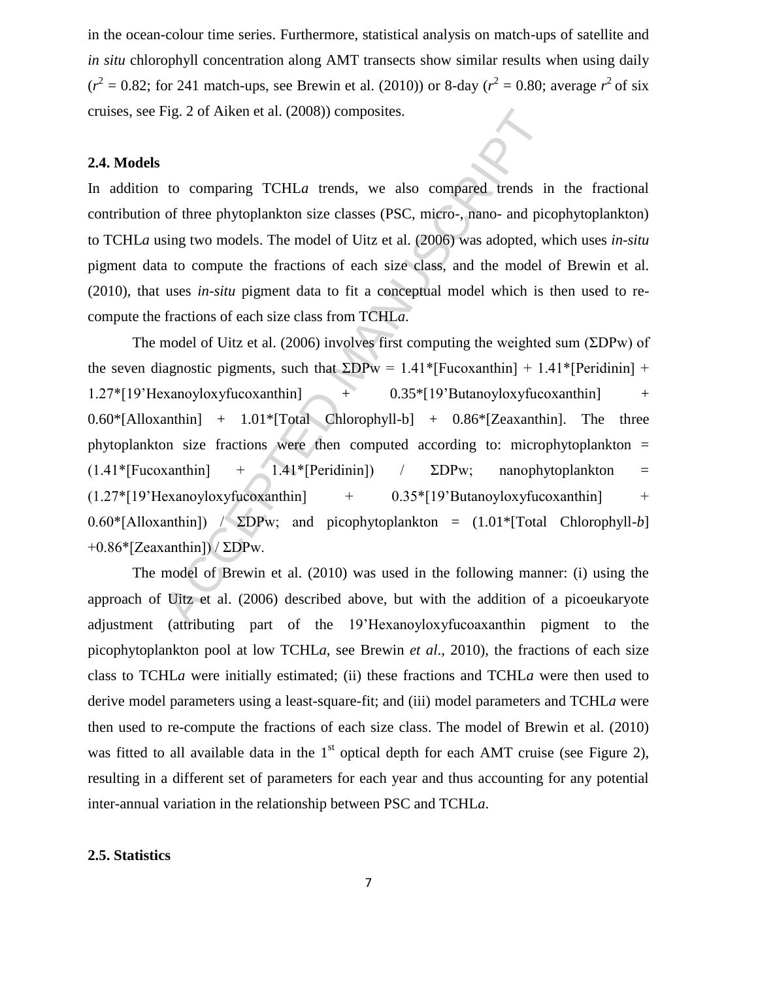in the ocean-colour time series. Furthermore, statistical analysis on match-ups of satellite and *in situ* chlorophyll concentration along AMT transects show similar results when using daily  $(r^2 = 0.82$ ; for 241 match-ups, see Brewin et al. (2010)) or 8-day ( $r^2 = 0.80$ ; average  $r^2$  of six cruises, see Fig. 2 of Aiken et al. (2008)) composites.

## **2.4. Models**

In addition to comparing TCHL*a* trends, we also compared trends in the fractional contribution of three phytoplankton size classes (PSC, micro-, nano- and picophytoplankton) to TCHL*a* using two models. The model of Uitz et al. (2006) was adopted, which uses *in-situ* pigment data to compute the fractions of each size class, and the model of Brewin et al. (2010), that uses *in-situ* pigment data to fit a conceptual model which is then used to recompute the fractions of each size class from TCHL*a*.

Fig. 2 of Aiken et al. (2008)) composites.<br>
to comparing TCHLa trends, we also compared trends in<br>
of three phytoplankton size classes (PSC, micro-, nano- and pice<br>
sing two models. The model of Uitz et al. (2006) was ado The model of Uitz et al. (2006) involves first computing the weighted sum ( $\Sigma$ DPw) of the seven diagnostic pigments, such that  $\SigmaDPw = 1.41*$ [Fucoxanthin] + 1.41\*[Peridinin] +  $1.27*[19'$ Hexanoyloxyfucoxanthin]  $+$  0.35\*[19'Butanoyloxyfucoxanthin]  $+$  $0.60*$ [Alloxanthin] +  $1.01*$ [Total Chlorophyll-b] +  $0.86*$ [Zeaxanthin]. The three phytoplankton size fractions were then computed according to: microphytoplankton =  $(1.41*$ [Fucoxanthin] + 1.41\*[Peridinin]) /  $\Sigma DPw$ ; nanophytoplankton =  $(1.27 * [19'Hexanoyloxy fucoxanthin] + 0.35 * [19'Butanoyloxy fucoxanthin] + 0.35 * [19'Hexanoyloxy fucoxanthin] + 0.35 * [19'Hexanoyloxy fucoxanthin] + 0.35 * [19'Hexanoyloxy fucoxanthin] + 0.35 * [19'Hexanoyloxy fucoxanthin] + 0.35 * [19'Hexanoyloxy fucoxanthin] + 0.35 * [19'Hexanoyloxy fucoxanthin] + 0.35 * [19'Hexanoyloxy fucoxanthin] + 0.35 * [19'Hexanoy$  $0.60*$ [Alloxanthin])  $\angle$  **EDP**w; and picophytoplankton =  $(1.01*$ [Total Chlorophyll-*b*]  $+0.86$ \*[Zeaxanthin]) / ΣDPw.

The model of Brewin et al. (2010) was used in the following manner: (i) using the approach of Uitz et al. (2006) described above, but with the addition of a picoeukaryote adjustment (attributing part of the 19'H exanovloxy fuctor axanthin pigment to the picophytoplankton pool at low TCHL*a*, see Brewin *et al*., 2010), the fractions of each size class to TCHL*a* were initially estimated; (ii) these fractions and TCHL*a* were then used to derive model parameters using a least-square-fit; and (iii) model parameters and TCHL*a* were then used to re-compute the fractions of each size class. The model of Brewin et al. (2010) was fitted to all available data in the  $1<sup>st</sup>$  optical depth for each AMT cruise (see Figure 2), resulting in a different set of parameters for each year and thus accounting for any potential inter-annual variation in the relationship between PSC and TCHL*a*.

#### **2.5. Statistics**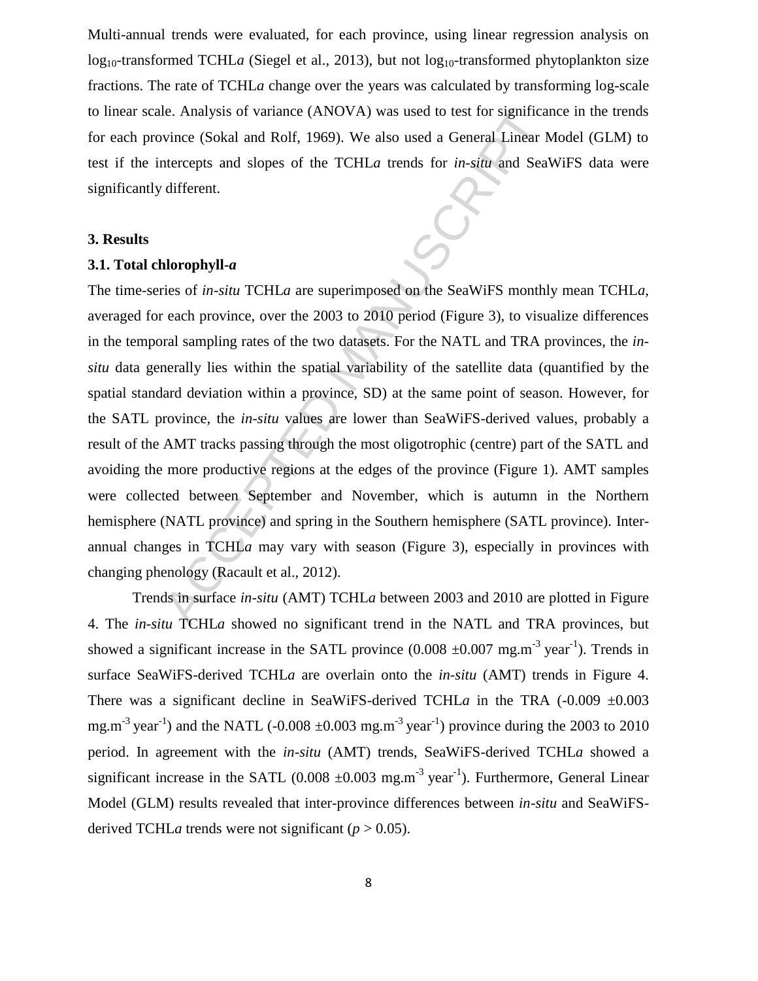Multi-annual trends were evaluated, for each province, using linear regression analysis on log<sub>10</sub>-transformed TCHL*a* (Siegel et al., 2013), but not log<sub>10</sub>-transformed phytoplankton size fractions. The rate of TCHL*a* change over the years was calculated by transforming log-scale to linear scale. Analysis of variance (ANOVA) was used to test for significance in the trends for each province (Sokal and Rolf, 1969). We also used a General Linear Model (GLM) to test if the intercepts and slopes of the TCHL*a* trends for *in-situ* and SeaWiFS data were significantly different.

## **3. Results**

## **3.1. Total chlorophyll-***a*

le. Analysis of variance (ANOVA) was used to test for significar<br>vince (Sokal and Rolf, 1969). We also used a General Linear M<br>tercepts and slopes of the TCHL*a* trends for *in-situ* and SeaM<br>different.<br>**Alorophyll-***a*<br>c The time-series of *in-situ* TCHL*a* are superimposed on the SeaWiFS monthly mean TCHL*a*, averaged for each province, over the 2003 to 2010 period (Figure 3), to visualize differences in the temporal sampling rates of the two datasets. For the NATL and TRA provinces, the *insitu* data generally lies within the spatial variability of the satellite data (quantified by the spatial standard deviation within a province, SD) at the same point of season. However, for the SATL province, the *in-situ* values are lower than SeaWiFS-derived values, probably a result of the AMT tracks passing through the most oligotrophic (centre) part of the SATL and avoiding the more productive regions at the edges of the province (Figure 1). AMT samples were collected between September and November, which is autumn in the Northern hemisphere (NATL province) and spring in the Southern hemisphere (SATL province). Interannual changes in TCHL*a* may vary with season (Figure 3), especially in provinces with changing phenology (Racault et al., 2012).

Trends in surface *in-situ* (AMT) TCHL*a* between 2003 and 2010 are plotted in Figure 4. The *in-situ* TCHL*a* showed no significant trend in the NATL and TRA provinces, but showed a significant increase in the SATL province  $(0.008 \pm 0.007 \text{ mg.m}^{-3} \text{ year}^{-1})$ . Trends in surface SeaWiFS-derived TCHL*a* are overlain onto the *in-situ* (AMT) trends in Figure 4. There was a significant decline in SeaWiFS-derived TCHLa in the TRA  $(-0.009 \pm 0.003$ mg.m<sup>-3</sup> year<sup>-1</sup>) and the NATL (-0.008  $\pm$ 0.003 mg.m<sup>-3</sup> year<sup>-1</sup>) province during the 2003 to 2010 period. In agreement with the *in-situ* (AMT) trends, SeaWiFS-derived TCHL*a* showed a significant increase in the SATL  $(0.008 \pm 0.003 \text{ mg.m}^{-3} \text{ year}^{-1})$ . Furthermore, General Linear Model (GLM) results revealed that inter-province differences between *in-situ* and SeaWiFSderived TCHL*a* trends were not significant ( $p > 0.05$ ).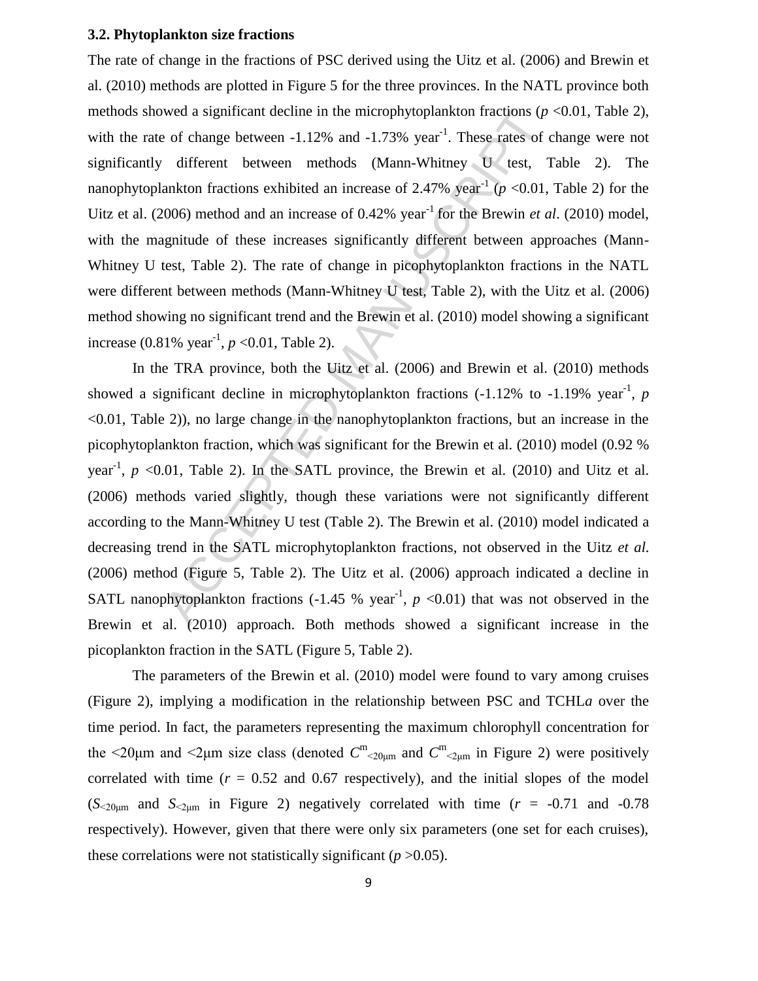## **3.2. Phytoplankton size fractions**

The rate of change in the fractions of PSC derived using the Uitz et al. (2006) and Brewin et al. (2010) methods are plotted in Figure 5 for the three provinces. In the NATL province both methods showed a significant decline in the microphytoplankton fractions (*p* <0.01, Table 2), with the rate of change between  $-1.12\%$  and  $-1.73\%$  year<sup>-1</sup>. These rates of change were not significantly different between methods (Mann-Whitney U test, Table 2). The nanophytoplankton fractions exhibited an increase of 2.47% year<sup>-1</sup> ( $p$  <0.01, Table 2) for the Uitz et al. (2006) method and an increase of 0.42% year<sup>-1</sup> for the Brewin *et al.* (2010) model, with the magnitude of these increases significantly different between approaches (Mann-Whitney U test, Table 2). The rate of change in picophytoplankton fractions in the NATL were different between methods (Mann-Whitney U test, Table 2), with the Uitz et al. (2006) method showing no significant trend and the Brewin et al. (2010) model showing a significant increase  $(0.81\% \text{ year}^{-1}, p < 0.01, \text{Table 2}).$ 

wed a significant decline in the microphytoplankton fractions ( $p$ <br>of change between -1.12% and -1.73% year<sup>-1</sup>. These rates of c<br>different between methods (Mann-Whitney U test, 1<br>ankton fractions exhibited an increase of In the TRA province, both the Uitz et al. (2006) and Brewin et al. (2010) methods showed a significant decline in microphytoplankton fractions  $(-1.12\%$  to  $-1.19\%$  year<sup>-1</sup>, p <0.01, Table 2)), no large change in the nanophytoplankton fractions, but an increase in the picophytoplankton fraction, which was significant for the Brewin et al. (2010) model (0.92 % year<sup>-1</sup>,  $p \le 0.01$ , Table 2). In the SATL province, the Brewin et al. (2010) and Uitz et al. (2006) methods varied slightly, though these variations were not significantly different according to the Mann-Whitney U test (Table 2). The Brewin et al. (2010) model indicated a decreasing trend in the SATL microphytoplankton fractions, not observed in the Uitz *et al*. (2006) method (Figure 5, Table 2). The Uitz et al. (2006) approach indicated a decline in SATL nanophytoplankton fractions  $(-1.45\% \text{ year}^1, p \lt 0.01)$  that was not observed in the Brewin et al. (2010) approach. Both methods showed a significant increase in the picoplankton fraction in the SATL (Figure 5, Table 2).

The parameters of the Brewin et al. (2010) model were found to vary among cruises (Figure 2), implying a modification in the relationship between PSC and TCHL*a* over the time period. In fact, the parameters representing the maximum chlorophyll concentration for the  $\leq$ 20 $\mu$ m and  $\leq$  $\mu$ m size class (denoted  $C^{\text{m}}_{\leq$ <sub>20 $\mu$ m</sub> and  $C^{\text{m}}_{\leq}$ <sub>2 $\mu$ m</sub> in Figure 2) were positively correlated with time  $(r = 0.52$  and 0.67 respectively), and the initial slopes of the model  $(S_{\text{20µm}}$  and  $S_{\text{2µm}}$  in Figure 2) negatively correlated with time ( $r = -0.71$  and  $-0.78$ ) respectively). However, given that there were only six parameters (one set for each cruises), these correlations were not statistically significant  $(p > 0.05)$ .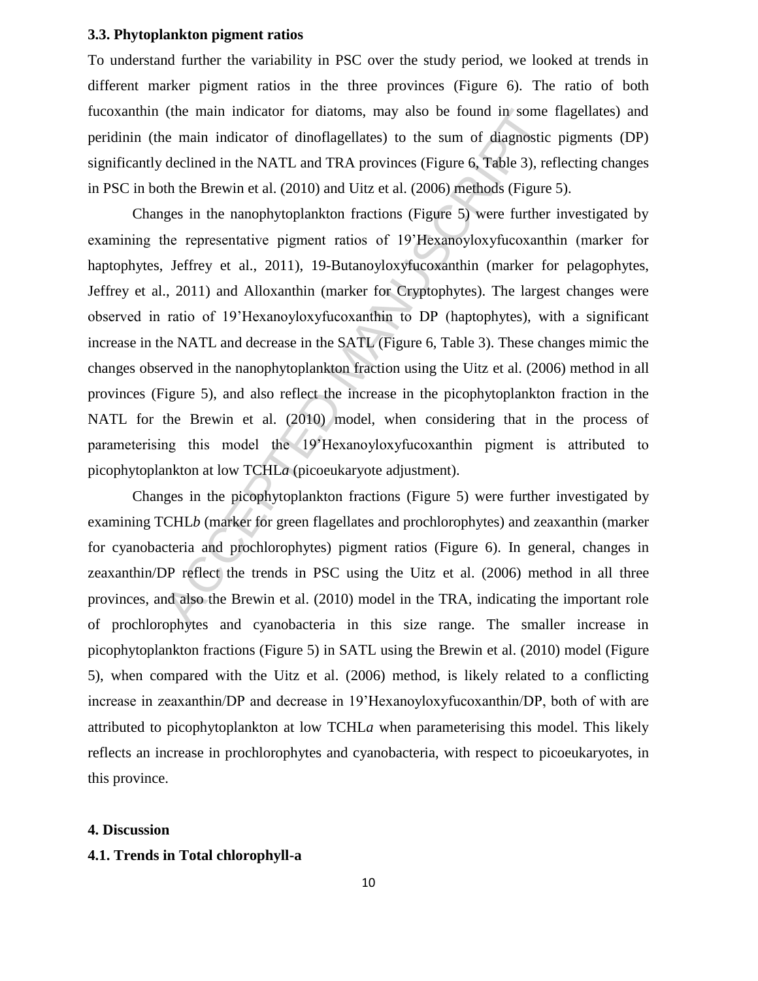## **3.3. Phytoplankton pigment ratios**

To understand further the variability in PSC over the study period, we looked at trends in different marker pigment ratios in the three provinces (Figure 6). The ratio of both fucoxanthin (the main indicator for diatoms, may also be found in some flagellates) and peridinin (the main indicator of dinoflagellates) to the sum of diagnostic pigments (DP) significantly declined in the NATL and TRA provinces (Figure 6, Table 3), reflecting changes in PSC in both the Brewin et al. (2010) and Uitz et al. (2006) methods (Figure 5).

(the main indicator for diatoms, may also be found in some<br>the main indicator of dinoflagellates) to the sum of diagnostic<br>declined in the NATL and TRA provinces (Figure 6, Table 3), re<br>the the Brewin et al. (2010) and Ui Changes in the nanophytoplankton fractions (Figure 5) were further investigated by examining the representative pigment ratios of 19'Hexanoyloxyfucoxanthin (marker for haptophytes, Jeffrey et al., 2011), 19-Butanoyloxyfucoxanthin (marker for pelagophytes, Jeffrey et al., 2011) and Alloxanthin (marker for Cryptophytes). The largest changes were observed in ratio of 19'H exanoyloxy fucoxanthin to DP (haptophytes), with a significant increase in the NATL and decrease in the SATL (Figure 6, Table 3). These changes mimic the changes observed in the nanophytoplankton fraction using the Uitz et al. (2006) method in all provinces (Figure 5), and also reflect the increase in the picophytoplankton fraction in the NATL for the Brewin et al. (2010) model, when considering that in the process of parameterising this model the 19'H exanovloxy fucoxanthin pigment is attributed to picophytoplankton at low TCHL*a* (picoeukaryote adjustment).

Changes in the picophytoplankton fractions (Figure 5) were further investigated by examining TCHL*b* (marker for green flagellates and prochlorophytes) and zeaxanthin (marker for cyanobacteria and prochlorophytes) pigment ratios (Figure 6). In general, changes in zeaxanthin/DP reflect the trends in PSC using the Uitz et al. (2006) method in all three provinces, and also the Brewin et al. (2010) model in the TRA, indicating the important role of prochlorophytes and cyanobacteria in this size range. The smaller increase in picophytoplankton fractions (Figure 5) in SATL using the Brewin et al. (2010) model (Figure 5), when compared with the Uitz et al. (2006) method, is likely related to a conflicting increase in zeaxanthin/DP and decrease in 19'Hexanoyloxyfucoxanthin/DP, both of with are attributed to picophytoplankton at low TCHL*a* when parameterising this model. This likely reflects an increase in prochlorophytes and cyanobacteria, with respect to picoeukaryotes, in this province.

#### **4. Discussion**

#### **4.1. Trends in Total chlorophyll-a**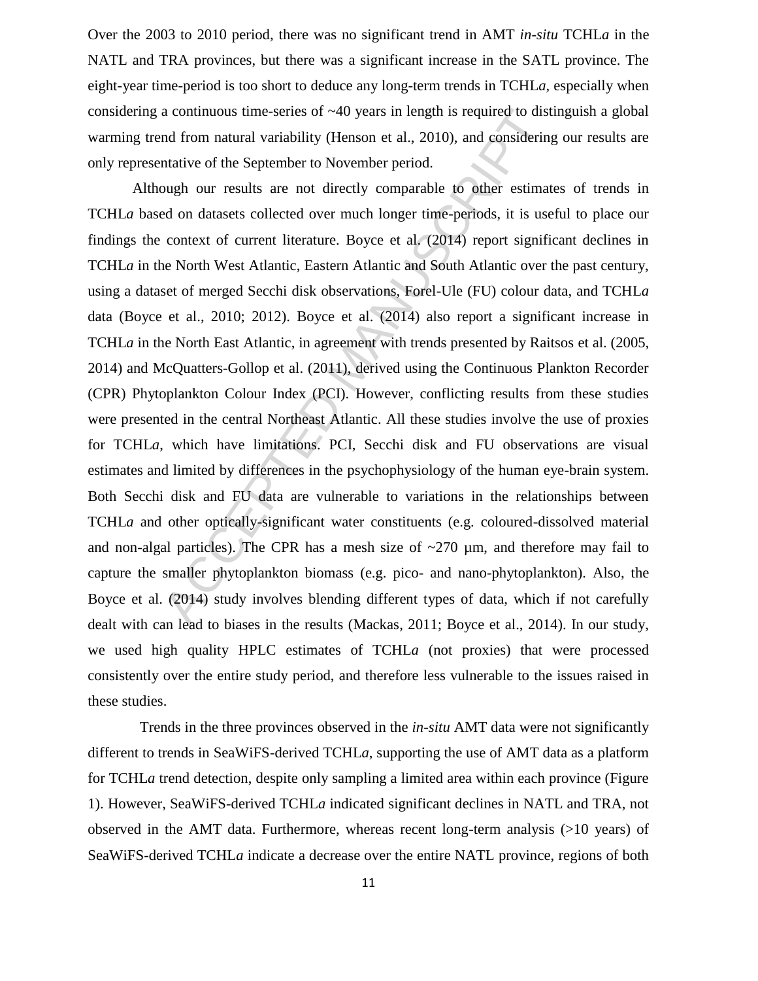Over the 2003 to 2010 period, there was no significant trend in AMT *in-situ* TCHL*a* in the NATL and TRA provinces, but there was a significant increase in the SATL province. The eight-year time-period is too short to deduce any long-term trends in TCHL*a*, especially when considering a continuous time-series of ~40 years in length is required to distinguish a global warming trend from natural variability (Henson et al., 2010), and considering our results are only representative of the September to November period.

a continuous time-series of ~40 years in length is required to dist<br>and from natural variability (Henson et al., 2010), and considering<br>matative of the September to November period.<br>Dugh our results are not directly compa Although our results are not directly comparable to other estimates of trends in TCHL*a* based on datasets collected over much longer time-periods, it is useful to place our findings the context of current literature. Boyce et al. (2014) report significant declines in TCHL*a* in the North West Atlantic, Eastern Atlantic and South Atlantic over the past century, using a dataset of merged Secchi disk observations, Forel-Ule (FU) colour data, and TCHL*a* data (Boyce et al., 2010; 2012). Boyce et al. (2014) also report a significant increase in TCHL*a* in the North East Atlantic, in agreement with trends presented by Raitsos et al. (2005, 2014) and McQuatters-Gollop et al. (2011), derived using the Continuous Plankton Recorder (CPR) Phytoplankton Colour Index (PCI). However, conflicting results from these studies were presented in the central Northeast Atlantic. All these studies involve the use of proxies for TCHL*a*, which have limitations. PCI, Secchi disk and FU observations are visual estimates and limited by differences in the psychophysiology of the human eye-brain system. Both Secchi disk and FU data are vulnerable to variations in the relationships between TCHL*a* and other optically-significant water constituents (e.g. coloured-dissolved material and non-algal particles). The CPR has a mesh size of  $\sim$ 270  $\mu$ m, and therefore may fail to capture the smaller phytoplankton biomass (e.g. pico- and nano-phytoplankton). Also, the Boyce et al. (2014) study involves blending different types of data, which if not carefully dealt with can lead to biases in the results (Mackas, 2011; Boyce et al., 2014). In our study, we used high quality HPLC estimates of TCHL*a* (not proxies) that were processed consistently over the entire study period, and therefore less vulnerable to the issues raised in these studies.

 Trends in the three provinces observed in the *in-situ* AMT data were not significantly different to trends in SeaWiFS-derived TCHL*a*, supporting the use of AMT data as a platform for TCHL*a* trend detection, despite only sampling a limited area within each province (Figure 1). However, SeaWiFS-derived TCHL*a* indicated significant declines in NATL and TRA, not observed in the AMT data. Furthermore, whereas recent long-term analysis (>10 years) of SeaWiFS-derived TCHL*a* indicate a decrease over the entire NATL province, regions of both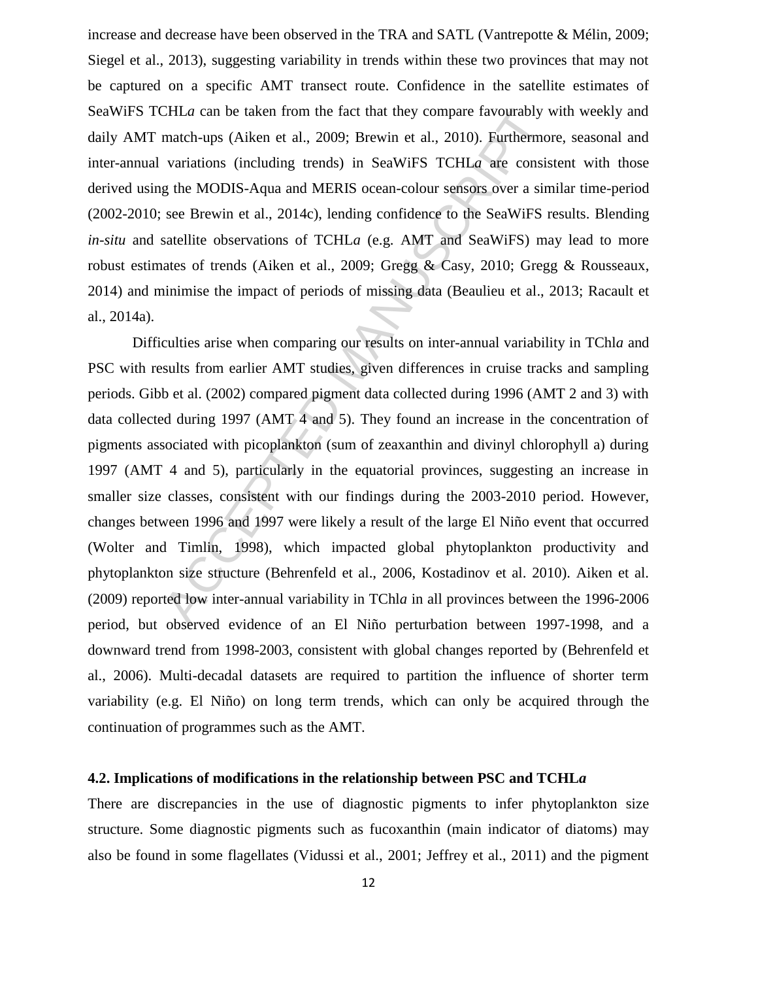increase and decrease have been observed in the TRA and SATL (Vantrepotte & Mélin, 2009; Siegel et al., 2013), suggesting variability in trends within these two provinces that may not be captured on a specific AMT transect route. Confidence in the satellite estimates of SeaWiFS TCHL*a* can be taken from the fact that they compare favourably with weekly and daily AMT match-ups (Aiken et al., 2009; Brewin et al., 2010). Furthermore, seasonal and inter-annual variations (including trends) in SeaWiFS TCHL*a* are consistent with those derived using the MODIS-Aqua and MERIS ocean-colour sensors over a similar time-period (2002-2010; see Brewin et al., 2014c), lending confidence to the SeaWiFS results. Blending *in-situ* and satellite observations of TCHL*a* (e.g. AMT and SeaWiFS) may lead to more robust estimates of trends (Aiken et al., 2009; Gregg & Casy, 2010; Gregg & Rousseaux, 2014) and minimise the impact of periods of missing data (Beaulieu et al., 2013; Racault et al., 2014a).

CHLa can be taken from the fact that they compare favourably v<br>match-ups (Aiken et al., 2009; Brewin et al., 2010). Furthermor<br>variations (including trends) in SeaWiFS TCHLa are consis<br>g the MODIS-Aqua and MERIS ocean-col Difficulties arise when comparing our results on inter-annual variability in TChl*a* and PSC with results from earlier AMT studies, given differences in cruise tracks and sampling periods. Gibb et al. (2002) compared pigment data collected during 1996 (AMT 2 and 3) with data collected during 1997 (AMT 4 and 5). They found an increase in the concentration of pigments associated with picoplankton (sum of zeaxanthin and divinyl chlorophyll a) during 1997 (AMT 4 and 5), particularly in the equatorial provinces, suggesting an increase in smaller size classes, consistent with our findings during the 2003-2010 period. However, changes between 1996 and 1997 were likely a result of the large El Niño event that occurred (Wolter and Timlin, 1998), which impacted global phytoplankton productivity and phytoplankton size structure (Behrenfeld et al., 2006, Kostadinov et al. 2010). Aiken et al. (2009) reported low inter-annual variability in TChl*a* in all provinces between the 1996-2006 period, but observed evidence of an El Niño perturbation between 1997-1998, and a downward trend from 1998-2003, consistent with global changes reported by (Behrenfeld et al., 2006). Multi-decadal datasets are required to partition the influence of shorter term variability (e.g. El Niño) on long term trends, which can only be acquired through the continuation of programmes such as the AMT.

### **4.2. Implications of modifications in the relationship between PSC and TCHL***a*

There are discrepancies in the use of diagnostic pigments to infer phytoplankton size structure. Some diagnostic pigments such as fucoxanthin (main indicator of diatoms) may also be found in some flagellates (Vidussi et al., 2001; Jeffrey et al., 2011) and the pigment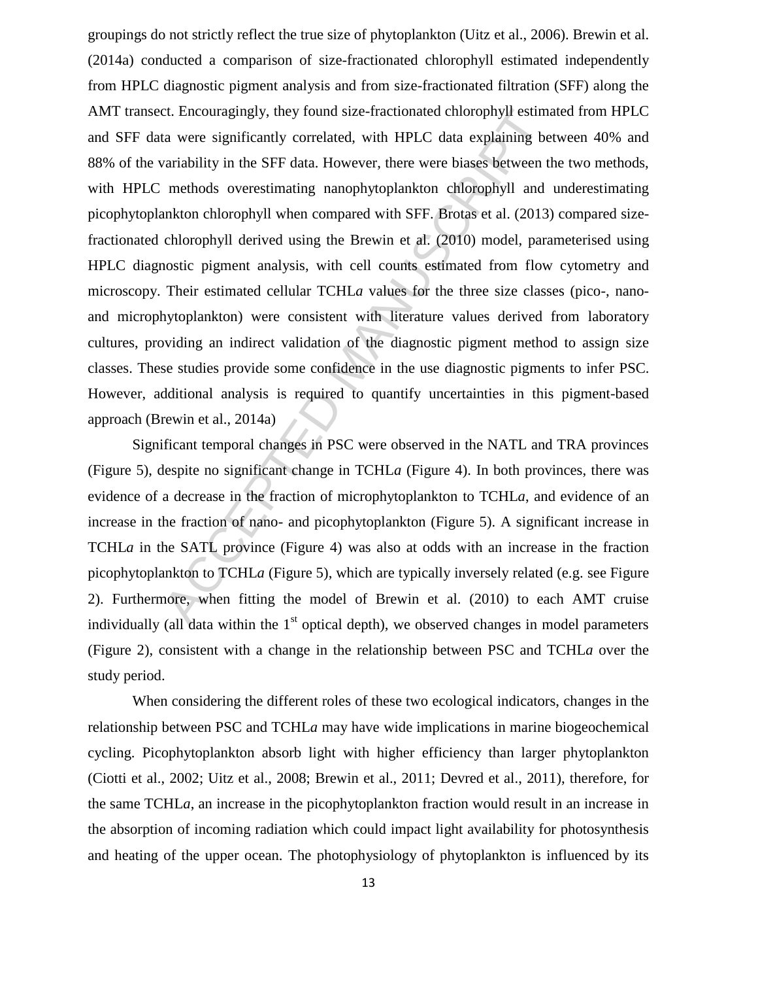ct. Encouragingly, they found size-fractionated chlorophyll estimate and were significantly correlated, with HPLC data explaining be variability in the SFF data. However, there were biases between the methods overestimati groupings do not strictly reflect the true size of phytoplankton (Uitz et al., 2006). Brewin et al. (2014a) conducted a comparison of size-fractionated chlorophyll estimated independently from HPLC diagnostic pigment analysis and from size-fractionated filtration (SFF) along the AMT transect. Encouragingly, they found size-fractionated chlorophyll estimated from HPLC and SFF data were significantly correlated, with HPLC data explaining between 40% and 88% of the variability in the SFF data. However, there were biases between the two methods, with HPLC methods overestimating nanophytoplankton chlorophyll and underestimating picophytoplankton chlorophyll when compared with SFF. Brotas et al. (2013) compared sizefractionated chlorophyll derived using the Brewin et al. (2010) model, parameterised using HPLC diagnostic pigment analysis, with cell counts estimated from flow cytometry and microscopy. Their estimated cellular TCHL*a* values for the three size classes (pico-, nanoand microphytoplankton) were consistent with literature values derived from laboratory cultures, providing an indirect validation of the diagnostic pigment method to assign size classes. These studies provide some confidence in the use diagnostic pigments to infer PSC. However, additional analysis is required to quantify uncertainties in this pigment-based approach (Brewin et al., 2014a)

Significant temporal changes in PSC were observed in the NATL and TRA provinces (Figure 5), despite no significant change in TCHL*a* (Figure 4). In both provinces, there was evidence of a decrease in the fraction of microphytoplankton to TCHL*a*, and evidence of an increase in the fraction of nano- and picophytoplankton (Figure 5). A significant increase in TCHL*a* in the SATL province (Figure 4) was also at odds with an increase in the fraction picophytoplankton to TCHL*a* (Figure 5), which are typically inversely related (e.g. see Figure 2). Furthermore, when fitting the model of Brewin et al. (2010) to each AMT cruise individually (all data within the  $1<sup>st</sup>$  optical depth), we observed changes in model parameters (Figure 2), consistent with a change in the relationship between PSC and TCHL*a* over the study period.

When considering the different roles of these two ecological indicators, changes in the relationship between PSC and TCHL*a* may have wide implications in marine biogeochemical cycling. Picophytoplankton absorb light with higher efficiency than larger phytoplankton (Ciotti et al., 2002; Uitz et al., 2008; Brewin et al., 2011; Devred et al., 2011), therefore, for the same TCHL*a*, an increase in the picophytoplankton fraction would result in an increase in the absorption of incoming radiation which could impact light availability for photosynthesis and heating of the upper ocean. The photophysiology of phytoplankton is influenced by its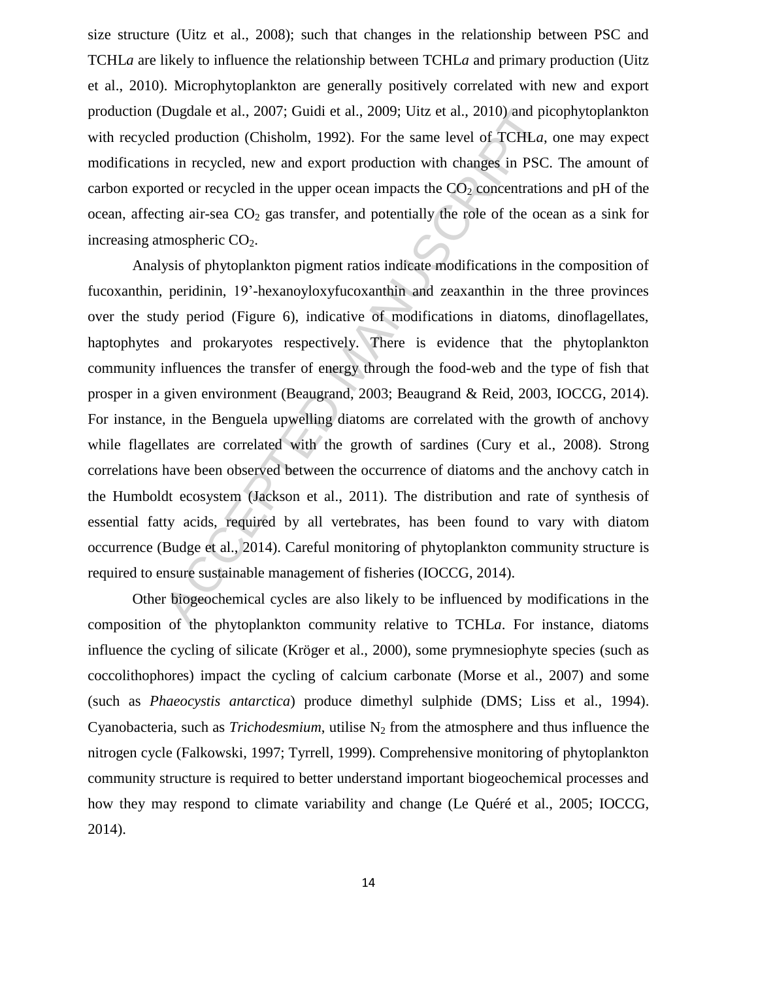size structure (Uitz et al., 2008); such that changes in the relationship between PSC and TCHL*a* are likely to influence the relationship between TCHL*a* and primary production (Uitz et al., 2010). Microphytoplankton are generally positively correlated with new and export production (Dugdale et al., 2007; Guidi et al., 2009; Uitz et al., 2010) and picophytoplankton with recycled production (Chisholm, 1992). For the same level of TCHL*a*, one may expect modifications in recycled, new and export production with changes in PSC. The amount of carbon exported or recycled in the upper ocean impacts the  $CO<sub>2</sub>$  concentrations and pH of the ocean, affecting air-sea  $CO<sub>2</sub>$  gas transfer, and potentially the role of the ocean as a sink for increasing atmospheric  $CO<sub>2</sub>$ .

Dugdale et al., 2007; Guidi et al., 2009; Uitz et al., 2010) and pided production (Chisholm, 1992). For the same level of TCHLa, is in recycled, new and export production with changes in PSC. reted or recycled in the uppe Analysis of phytoplankton pigment ratios indicate modifications in the composition of fucoxanthin, peridinin, 19'-hexanoyloxyfucoxanthin and zeaxanthin in the three provinces over the study period (Figure 6), indicative of modifications in diatoms, dinoflagellates, haptophytes and prokaryotes respectively. There is evidence that the phytoplankton community influences the transfer of energy through the food-web and the type of fish that prosper in a given environment (Beaugrand, 2003; Beaugrand & Reid, 2003, IOCCG, 2014). For instance, in the Benguela upwelling diatoms are correlated with the growth of anchovy while flagellates are correlated with the growth of sardines (Cury et al., 2008). Strong correlations have been observed between the occurrence of diatoms and the anchovy catch in the Humboldt ecosystem (Jackson et al., 2011). The distribution and rate of synthesis of essential fatty acids, required by all vertebrates, has been found to vary with diatom occurrence (Budge et al., 2014). Careful monitoring of phytoplankton community structure is required to ensure sustainable management of fisheries (IOCCG, 2014).

Other biogeochemical cycles are also likely to be influenced by modifications in the composition of the phytoplankton community relative to TCHL*a*. For instance, diatoms influence the cycling of silicate (Kröger et al., 2000), some prymnesiophyte species (such as coccolithophores) impact the cycling of calcium carbonate (Morse et al., 2007) and some (such as *Phaeocystis antarctica*) produce dimethyl sulphide (DMS; Liss et al., 1994). Cyanobacteria, such as *Trichodesmium*, utilise  $N_2$  from the atmosphere and thus influence the nitrogen cycle (Falkowski, 1997; Tyrrell, 1999). Comprehensive monitoring of phytoplankton community structure is required to better understand important biogeochemical processes and how they may respond to climate variability and change (Le Quéré et al., 2005; IOCCG, 2014).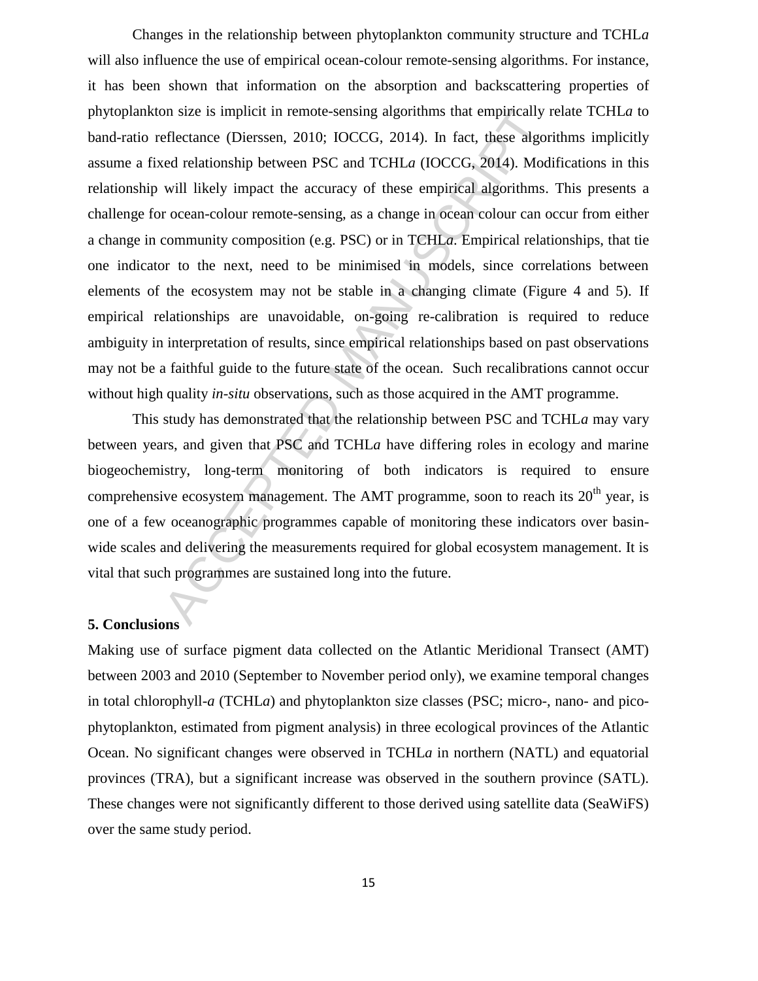on size is implicit in remote-sensing algorithms that empirically reflectance (Dierssen, 2010; IOCCG, 2014). In fact, these algored relationship between PSC and TCHLa (IOCCG, 2014). Modivill likely impact the accuracy of Changes in the relationship between phytoplankton community structure and TCHL*a* will also influence the use of empirical ocean-colour remote-sensing algorithms. For instance, it has been shown that information on the absorption and backscattering properties of phytoplankton size is implicit in remote-sensing algorithms that empirically relate TCHL*a* to band-ratio reflectance (Dierssen, 2010; IOCCG, 2014). In fact, these algorithms implicitly assume a fixed relationship between PSC and TCHL*a* (IOCCG, 2014). Modifications in this relationship will likely impact the accuracy of these empirical algorithms. This presents a challenge for ocean-colour remote-sensing, as a change in ocean colour can occur from either a change in community composition (e.g. PSC) or in TCHL*a*. Empirical relationships, that tie one indicator to the next, need to be minimised in models, since correlations between elements of the ecosystem may not be stable in a changing climate (Figure 4 and 5). If empirical relationships are unavoidable, on-going re-calibration is required to reduce ambiguity in interpretation of results, since empirical relationships based on past observations may not be a faithful guide to the future state of the ocean. Such recalibrations cannot occur without high quality *in-situ* observations, such as those acquired in the AMT programme.

This study has demonstrated that the relationship between PSC and TCHL*a* may vary between years, and given that PSC and TCHL*a* have differing roles in ecology and marine biogeochemistry, long-term monitoring of both indicators is required to ensure comprehensive ecosystem management. The AMT programme, soon to reach its  $20<sup>th</sup>$  year, is one of a few oceanographic programmes capable of monitoring these indicators over basinwide scales and delivering the measurements required for global ecosystem management. It is vital that such programmes are sustained long into the future.

#### **5. Conclusions**

Making use of surface pigment data collected on the Atlantic Meridional Transect (AMT) between 2003 and 2010 (September to November period only), we examine temporal changes in total chlorophyll-*a* (TCHL*a*) and phytoplankton size classes (PSC; micro-, nano- and picophytoplankton, estimated from pigment analysis) in three ecological provinces of the Atlantic Ocean. No significant changes were observed in TCHL*a* in northern (NATL) and equatorial provinces (TRA), but a significant increase was observed in the southern province (SATL). These changes were not significantly different to those derived using satellite data (SeaWiFS) over the same study period.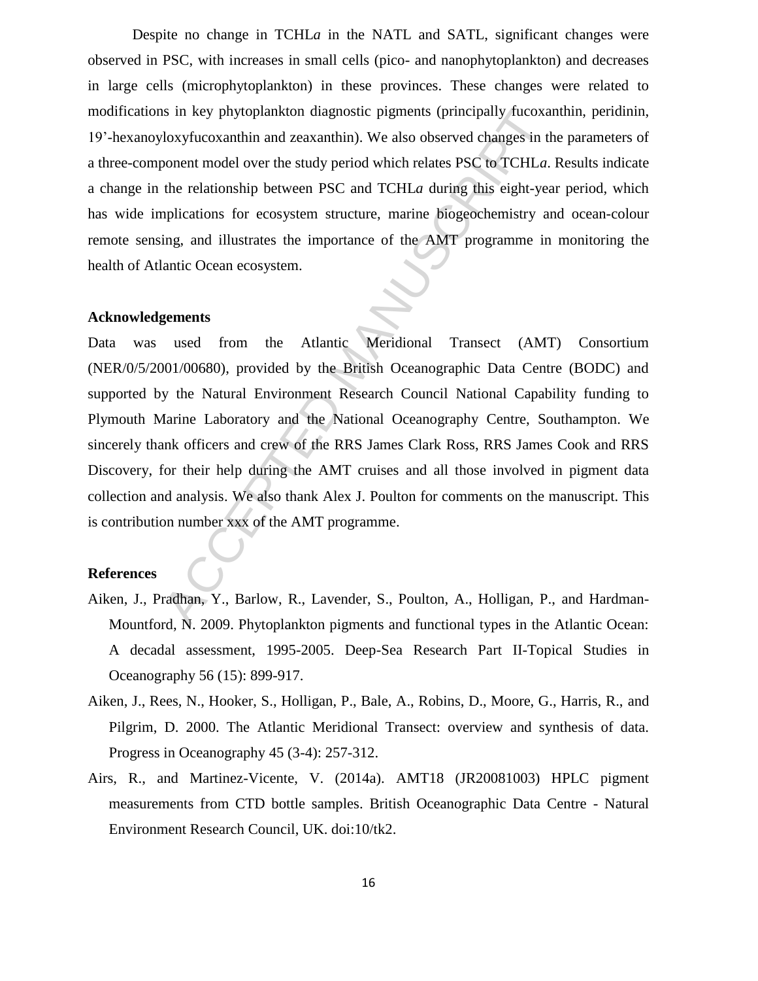Despite no change in TCHLa in the NATL and SATL, significant changes were observed in PSC, with increases in small cells (pico- and nanophytoplankton) and decreases in large cells (microphytoplankton) in these provinces. These changes were related to modifications in key phytoplankton diagnostic pigments (principally fucoxanthin, peridinin, 19'-hexanoyloxyfucoxanthin and zeaxanthin). We also observed changes in the parameters of a three-component model over the study period which relates PSC to TCHL*a*. Results indicate a change in the relationship between PSC and TCHL*a* during this eight-year period, which has wide implications for ecosystem structure, marine biogeochemistry and ocean-colour remote sensing, and illustrates the importance of the AMT programme in monitoring the health of Atlantic Ocean ecosystem.

#### **Acknowledgements**

is in key phytoplankton diagnostic pigments (principally fucoxa<br>doxyfucoxanthin and zeaxanthin). We also observed changes in th<br>onent model over the study period which relates PSC to TCHLa.<br>the relationship between PSC and Data was used from the Atlantic Meridional Transect (AMT) Consortium (NER/0/5/2001/00680), provided by the British Oceanographic Data Centre (BODC) and supported by the Natural Environment Research Council National Capability funding to Plymouth Marine Laboratory and the National Oceanography Centre, Southampton. We sincerely thank officers and crew of the RRS James Clark Ross, RRS James Cook and RRS Discovery, for their help during the AMT cruises and all those involved in pigment data collection and analysis. We also thank Alex J. Poulton for comments on the manuscript. This is contribution number xxx of the AMT programme.

#### **References**

- Aiken, J., Pradhan, Y., Barlow, R., Lavender, S., Poulton, A., Holligan, P., and Hardman-Mountford, N. 2009. Phytoplankton pigments and functional types in the Atlantic Ocean: A decadal assessment, 1995-2005. Deep-Sea Research Part II-Topical Studies in Oceanography 56 (15): 899-917.
- Aiken, J., Rees, N., Hooker, S., Holligan, P., Bale, A., Robins, D., Moore, G., Harris, R., and Pilgrim, D. 2000. The Atlantic Meridional Transect: overview and synthesis of data. Progress in Oceanography 45 (3-4): 257-312.
- Airs, R., and Martinez-Vicente, V. (2014a). AMT18 (JR20081003) HPLC pigment measurements from CTD bottle samples. British Oceanographic Data Centre - Natural Environment Research Council, UK. doi:10/tk2.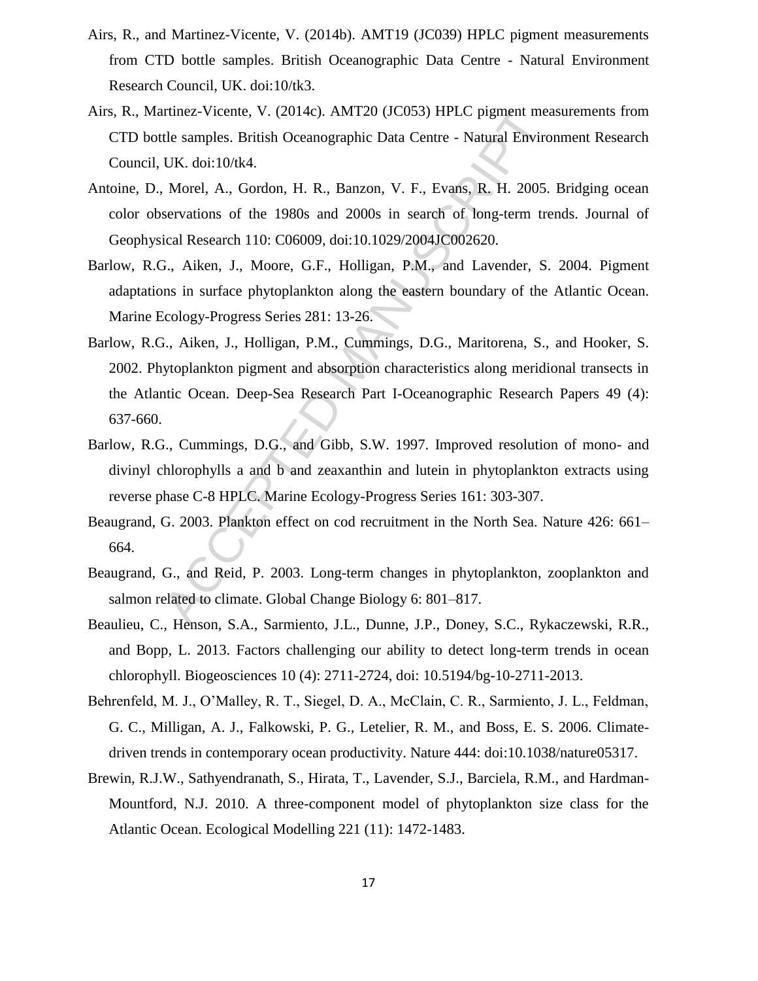- Airs, R., and Martinez-Vicente, V. (2014b). AMT19 (JC039) HPLC pigment measurements from CTD bottle samples. British Oceanographic Data Centre - Natural Environment Research Council, UK. doi:10/tk3.
- Airs, R., Martinez-Vicente, V. (2014c). AMT20 (JC053) HPLC pigment measurements from CTD bottle samples. British Oceanographic Data Centre - Natural Environment Research Council, UK. doi:10/tk4.
- Antoine, D., Morel, A., Gordon, H. R., Banzon, V. F., Evans, R. H. 2005. Bridging ocean color observations of the 1980s and 2000s in search of long-term trends. Journal of Geophysical Research 110: C06009, doi:10.1029/2004JC002620.
- Barlow, R.G., Aiken, J., Moore, G.F., Holligan, P.M., and Lavender, S. 2004. Pigment adaptations in surface phytoplankton along the eastern boundary of the Atlantic Ocean. Marine Ecology-Progress Series 281: 13-26.
- rtinez-Vicente, V. (2014c). AMT20 (JC053) HPLC pigment mea<br>tle samples. British Oceanographic Data Centre Natural Enviro<br>UK. doi:10/tk4.<br>Morel, A., Gordon, H. R., Banzon, V. F., Evans, R. H. 2005.<br>servations of the 1980s Barlow, R.G., Aiken, J., Holligan, P.M., Cummings, D.G., Maritorena, S., and Hooker, S. 2002. Phytoplankton pigment and absorption characteristics along meridional transects in the Atlantic Ocean. Deep-Sea Research Part I-Oceanographic Research Papers 49 (4): 637-660.
- Barlow, R.G., Cummings, D.G., and Gibb, S.W. 1997. Improved resolution of mono- and divinyl chlorophylls a and b and zeaxanthin and lutein in phytoplankton extracts using reverse phase C-8 HPLC. Marine Ecology-Progress Series 161: 303-307.
- Beaugrand, G. 2003. Plankton effect on cod recruitment in the North Sea. Nature 426: 661– 664.
- Beaugrand, G., and Reid, P. 2003. Long-term changes in phytoplankton, zooplankton and salmon related to climate. Global Change Biology 6: 801–817.
- Beaulieu, C., Henson, S.A., Sarmiento, J.L., Dunne, J.P., Doney, S.C., Rykaczewski, R.R., and Bopp, L. 2013. Factors challenging our ability to detect long-term trends in ocean chlorophyll. Biogeosciences 10 (4): 2711-2724, doi: 10.5194/bg-10-2711-2013.
- Behrenfeld, M. J., O'Malley, R. T., Siegel, D. A., McClain, C. R., Sarmiento, J. L., Feldman, G. C., Milligan, A. J., Falkowski, P. G., Letelier, R. M., and Boss, E. S. 2006. Climatedriven trends in contemporary ocean productivity. Nature 444: doi:10.1038/nature05317.
- Brewin, R.J.W., Sathyendranath, S., Hirata, T., Lavender, S.J., Barciela, R.M., and Hardman-Mountford, N.J. 2010. A three-component model of phytoplankton size class for the Atlantic Ocean. Ecological Modelling 221 (11): 1472-1483.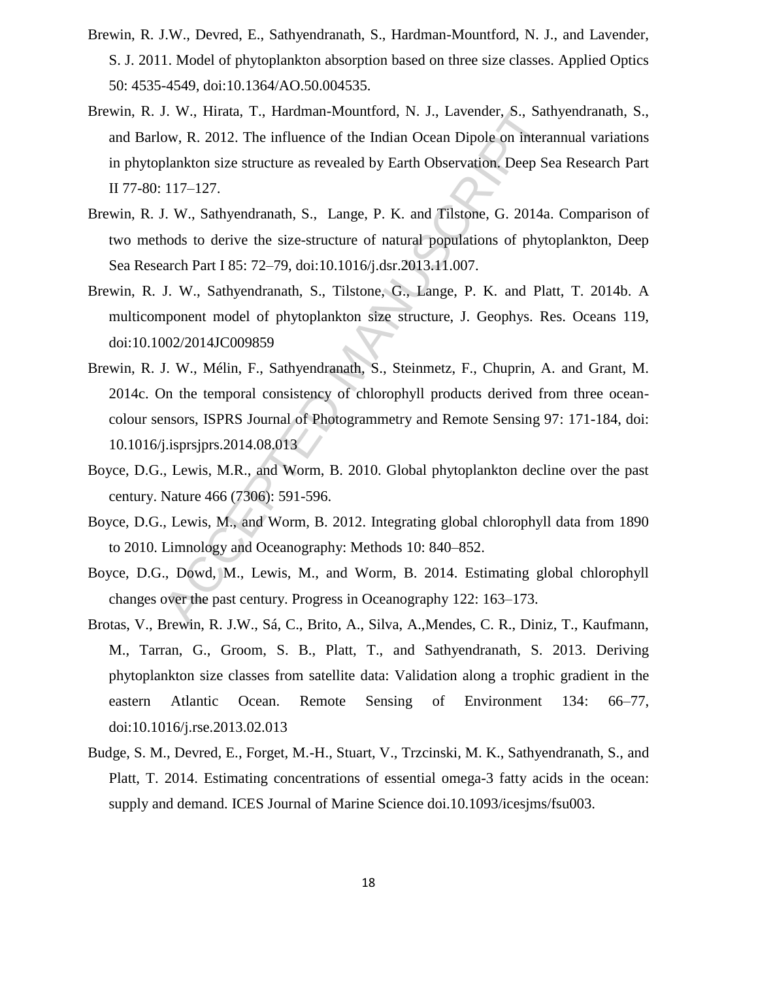- Brewin, R. J.W., Devred, E., Sathyendranath, S., Hardman-Mountford, N. J., and Lavender, S. J. 2011. Model of phytoplankton absorption based on three size classes. Applied Optics 50: 4535-4549, doi:10.1364/AO.50.004535.
- Brewin, R. J. W., Hirata, T., Hardman-Mountford, N. J., Lavender, S., Sathyendranath, S., and Barlow, R. 2012. The influence of the Indian Ocean Dipole on interannual variations in phytoplankton size structure as revealed by Earth Observation. Deep Sea Research Part II 77-80: 117–127.
- Brewin, R. J. W., Sathyendranath, S., Lange, P. K. and Tilstone, G. 2014a. Comparison of two methods to derive the size-structure of natural populations of phytoplankton, Deep Sea Research Part I 85: 72–79, doi:10.1016/j.dsr.2013.11.007.
- Brewin, R. J. W., Sathyendranath, S., Tilstone, G., Lange, P. K. and Platt, T. 2014b. A multicomponent model of phytoplankton size structure, J. Geophys. Res. Oceans 119, doi:10.1002/2014JC009859
- J. W., Hirata, T., Hardman-Mountford, N. J., Lavender, S., Sallow, R. 2012. The influence of the Indian Ocean Dipole on intera<br>blankton size structure as revealed by Earth Observation. Deep Se<br>117–127.<br>I. W., Sathyendranat Brewin, R. J. W., Mélin, F., Sathyendranath, S., Steinmetz, F., Chuprin, A. and Grant, M. 2014c. On the temporal consistency of chlorophyll products derived from three oceancolour sensors, ISPRS Journal of Photogrammetry and Remote Sensing 97: 171-184, doi: 10.1016/j.isprsjprs.2014.08.013
- Boyce, D.G., Lewis, M.R., and Worm, B. 2010. Global phytoplankton decline over the past century. Nature 466 (7306): 591-596.
- Boyce, D.G., Lewis, M., and Worm, B. 2012. Integrating global chlorophyll data from 1890 to 2010. Limnology and Oceanography: Methods 10: 840–852.
- Boyce, D.G., Dowd, M., Lewis, M., and Worm, B. 2014. Estimating global chlorophyll changes over the past century. Progress in Oceanography 122: 163–173.
- Brotas, V., Brewin, R. J.W., Sá, C., Brito, A., Silva, A.,Mendes, C. R., Diniz, T., Kaufmann, M., Tarran, G., Groom, S. B., Platt, T., and Sathyendranath, S. 2013. Deriving phytoplankton size classes from satellite data: Validation along a trophic gradient in the eastern Atlantic Ocean. Remote Sensing of Environment 134: 66–77, doi:10.1016/j.rse.2013.02.013
- Budge, S. M., Devred, E., Forget, M.-H., Stuart, V., Trzcinski, M. K., Sathyendranath, S., and Platt, T. 2014. Estimating concentrations of essential omega-3 fatty acids in the ocean: supply and demand. ICES Journal of Marine Science doi.10.1093/icesjms/fsu003.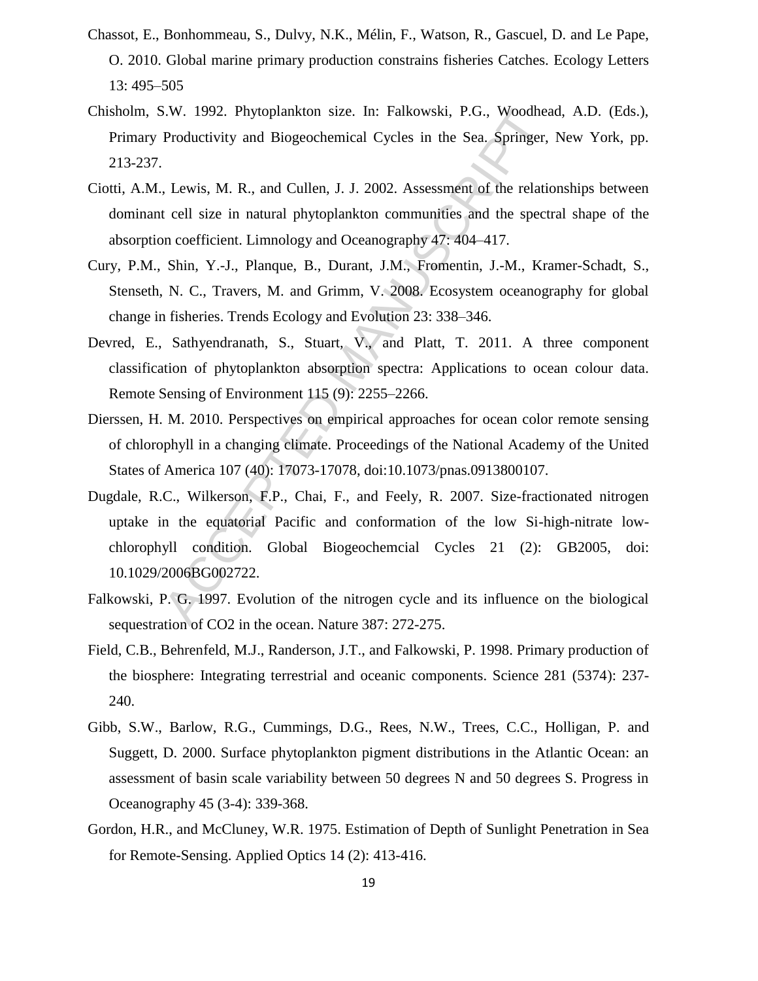- Chassot, E., Bonhommeau, S., Dulvy, N.K., Mélin, F., Watson, R., Gascuel, D. and Le Pape, O. 2010. Global marine primary production constrains fisheries Catches. Ecology Letters 13: 495–505
- Chisholm, S.W. 1992. Phytoplankton size. In: Falkowski, P.G., Woodhead, A.D. (Eds.), Primary Productivity and Biogeochemical Cycles in the Sea. Springer, New York, pp. 213-237.
- Ciotti, A.M., Lewis, M. R., and Cullen, J. J. 2002. Assessment of the relationships between dominant cell size in natural phytoplankton communities and the spectral shape of the absorption coefficient. Limnology and Oceanography 47: 404–417.
- Cury, P.M., Shin, Y.-J., Planque, B., Durant, J.M., Fromentin, J.-M., Kramer-Schadt, S., Stenseth, N. C., Travers, M. and Grimm, V. 2008. Ecosystem oceanography for global change in fisheries. Trends Ecology and Evolution 23: 338–346.
- Devred, E., Sathyendranath, S., Stuart, V., and Platt, T. 2011. A three component classification of phytoplankton absorption spectra: Applications to ocean colour data. Remote Sensing of Environment 115 (9): 2255–2266.
- Dierssen, H. M. 2010. Perspectives on empirical approaches for ocean color remote sensing of chlorophyll in a changing climate. Proceedings of the National Academy of the United States of America 107 (40): 17073-17078, doi:10.1073/pnas.0913800107.
- S.W. 1992. Phytoplankton size. In: Falkowski, P.G., Woodhea<br>Productivity and Biogeochemical Cycles in the Sea. Springer,<br>Lewis, M. R., and Cullen, J. J. 2002. Assessment of the relation<br>tell size in natural phytoplankton c Dugdale, R.C., Wilkerson, F.P., Chai, F., and Feely, R. 2007. Size-fractionated nitrogen uptake in the equatorial Pacific and conformation of the low Si-high-nitrate lowchlorophyll condition. Global Biogeochemcial Cycles 21 (2): GB2005, doi: 10.1029/2006BG002722.
- Falkowski, P. G. 1997. Evolution of the nitrogen cycle and its influence on the biological sequestration of CO2 in the ocean. Nature 387: 272-275.
- Field, C.B., Behrenfeld, M.J., Randerson, J.T., and Falkowski, P. 1998. Primary production of the biosphere: Integrating terrestrial and oceanic components. Science 281 (5374): 237- 240.
- Gibb, S.W., Barlow, R.G., Cummings, D.G., Rees, N.W., Trees, C.C., Holligan, P. and Suggett, D. 2000. Surface phytoplankton pigment distributions in the Atlantic Ocean: an assessment of basin scale variability between 50 degrees N and 50 degrees S. Progress in Oceanography 45 (3-4): 339-368.
- Gordon, H.R., and McCluney, W.R. 1975. Estimation of Depth of Sunlight Penetration in Sea for Remote-Sensing. Applied Optics 14 (2): 413-416.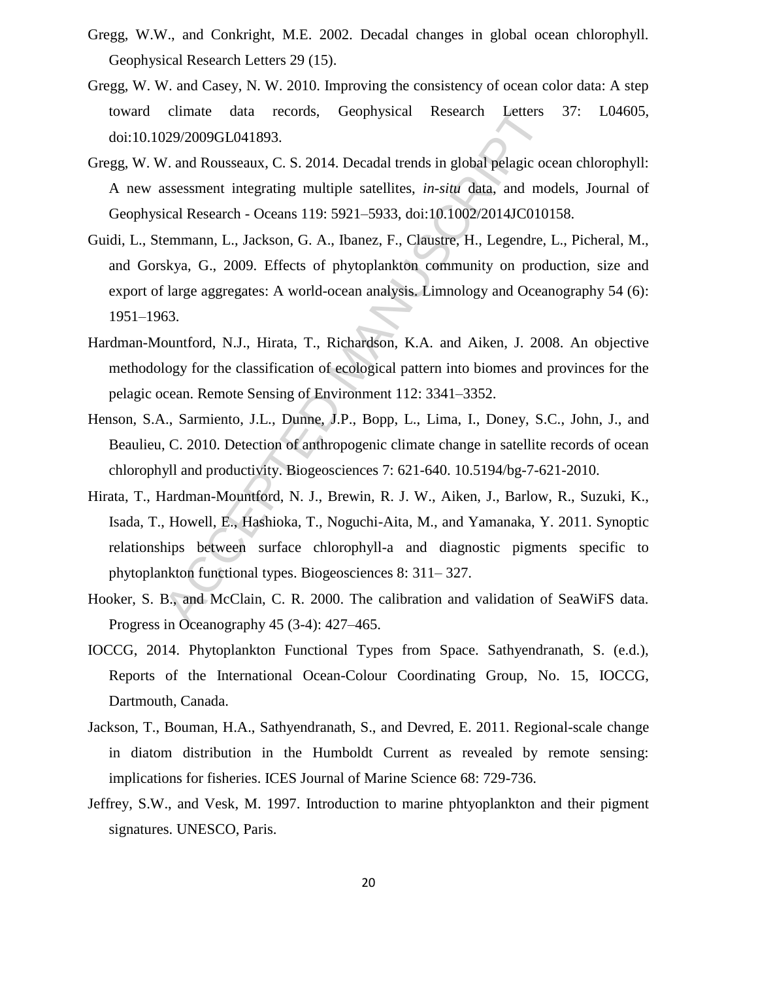- Gregg, W.W., and Conkright, M.E. 2002. Decadal changes in global ocean chlorophyll. Geophysical Research Letters 29 (15).
- Gregg, W. W. and Casey, N. W. 2010. Improving the consistency of ocean color data: A step toward climate data records, Geophysical Research Letters 37: L04605, doi:10.1029/2009GL041893.
- Gregg, W. W. and Rousseaux, C. S. 2014. Decadal trends in global pelagic ocean chlorophyll: A new assessment integrating multiple satellites, *in-situ* data, and models, Journal of Geophysical Research - Oceans 119: 5921–5933, doi:10.1002/2014JC010158.
- Guidi, L., Stemmann, L., Jackson, G. A., Ibanez, F., Claustre, H., Legendre, L., Picheral, M., and Gorskya, G., 2009. Effects of phytoplankton community on production, size and export of large aggregates: A world-ocean analysis. Limnology and Oceanography 54 (6): 1951–1963.
- Hardman-Mountford, N.J., Hirata, T., Richardson, K.A. and Aiken, J. 2008. An objective methodology for the classification of ecological pattern into biomes and provinces for the pelagic ocean. Remote Sensing of Environment 112: 3341–3352.
- Henson, S.A., Sarmiento, J.L., Dunne, J.P., Bopp, L., Lima, I., Doney, S.C., John, J., and Beaulieu, C. 2010. Detection of anthropogenic climate change in satellite records of ocean chlorophyll and productivity. Biogeosciences 7: 621-640. 10.5194/bg-7-621-2010.
- climate data records, Geophysical Research Letters<br>229/2009GL041893.<br>
V. and Rousseaux, C. S. 2014. Decadal trends in global pelagic oc<br>
sucessument integrating multiple satellites, *in-situ* data, and movical Research O Hirata, T., Hardman-Mountford, N. J., Brewin, R. J. W., Aiken, J., Barlow, R., Suzuki, K., Isada, T., Howell, E., Hashioka, T., Noguchi-Aita, M., and Yamanaka, Y. 2011. Synoptic relationships between surface chlorophyll-a and diagnostic pigments specific to phytoplankton functional types. Biogeosciences 8: 311– 327.
- Hooker, S. B., and McClain, C. R. 2000. The calibration and validation of SeaWiFS data. Progress in Oceanography 45 (3-4): 427–465.
- IOCCG, 2014. Phytoplankton Functional Types from Space. Sathyendranath, S. (e.d.), Reports of the International Ocean-Colour Coordinating Group, No. 15, IOCCG, Dartmouth, Canada.
- Jackson, T., Bouman, H.A., Sathyendranath, S., and Devred, E. 2011. Regional-scale change in diatom distribution in the Humboldt Current as revealed by remote sensing: implications for fisheries. ICES Journal of Marine Science 68: 729-736.
- Jeffrey, S.W., and Vesk, M. 1997. Introduction to marine phtyoplankton and their pigment signatures. UNESCO, Paris.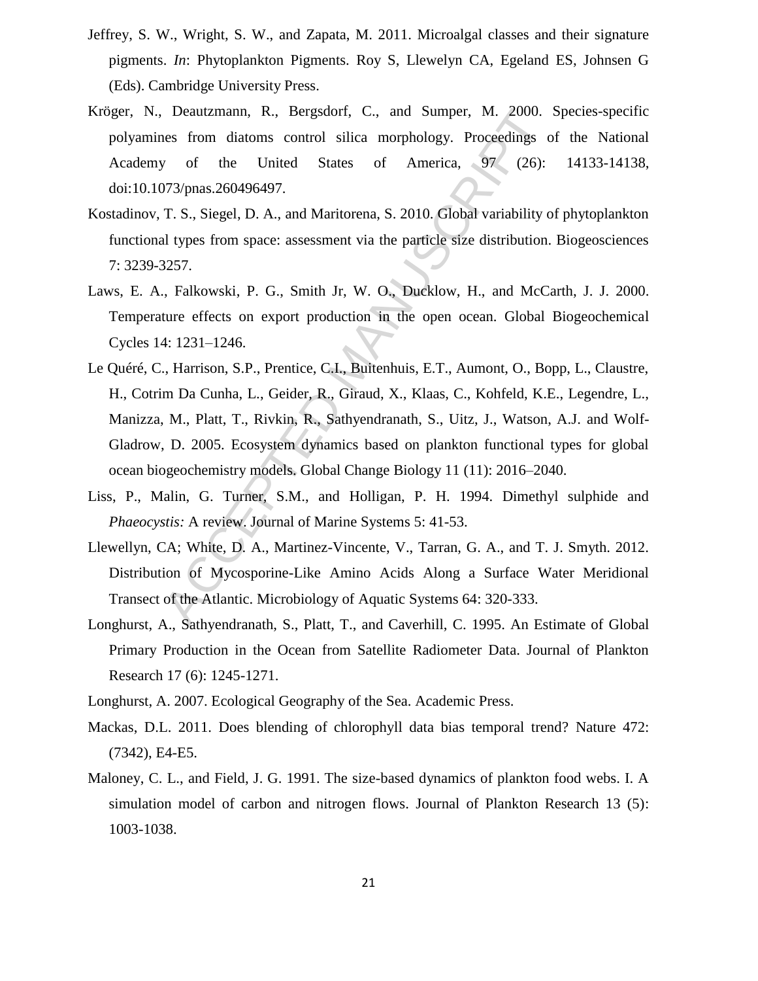- Jeffrey, S. W., Wright, S. W., and Zapata, M. 2011. Microalgal classes and their signature pigments. *In*: Phytoplankton Pigments. Roy S, Llewelyn CA, Egeland ES, Johnsen G (Eds). Cambridge University Press.
- Kröger, N., Deautzmann, R., Bergsdorf, C., and Sumper, M. 2000. Species-specific polyamines from diatoms control silica morphology. Proceedings of the National Academy of the United States of America, 97 (26): 14133-14138, doi:10.1073/pnas.260496497.
- Kostadinov, T. S., Siegel, D. A., and Maritorena, S. 2010. Global variability of phytoplankton functional types from space: assessment via the particle size distribution. Biogeosciences 7: 3239-3257.
- Laws, E. A., Falkowski, P. G., Smith Jr, W. O., Ducklow, H., and McCarth, J. J. 2000. Temperature effects on export production in the open ocean. Global Biogeochemical Cycles 14: 1231–1246.
- Deautzmann, R., Bergsdorf, C., and Sumper, M. 2000.<br>
hes from diatoms control silica morphology. Proceedings of<br>
y of the United States of America, 97 (26):<br>
773/pnas.260496497.<br>
T. S., Siegel, D. A., and Maritorena, S. 20 Le Quéré, C., Harrison, S.P., Prentice, C.I., Buitenhuis, E.T., Aumont, O., Bopp, L., Claustre, H., Cotrim Da Cunha, L., Geider, R., Giraud, X., Klaas, C., Kohfeld, K.E., Legendre, L., Manizza, M., Platt, T., Rivkin, R., Sathyendranath, S., Uitz, J., Watson, A.J. and Wolf-Gladrow, D. 2005. Ecosystem dynamics based on plankton functional types for global ocean biogeochemistry models. Global Change Biology 11 (11): 2016–2040.
- Liss, P., Malin, G. Turner, S.M., and Holligan, P. H. 1994. Dimethyl sulphide and *Phaeocystis:* A review. Journal of Marine Systems 5: 41-53.
- Llewellyn, CA; White, D. A., Martinez-Vincente, V., Tarran, G. A., and T. J. Smyth. 2012. Distribution of Mycosporine-Like Amino Acids Along a Surface Water Meridional Transect of the Atlantic. Microbiology of Aquatic Systems 64: 320-333.
- Longhurst, A., Sathyendranath, S., Platt, T., and Caverhill, C. 1995. An Estimate of Global Primary Production in the Ocean from Satellite Radiometer Data. Journal of Plankton Research 17 (6): 1245-1271.
- Longhurst, A. 2007. Ecological Geography of the Sea. Academic Press.
- Mackas, D.L. 2011. Does blending of chlorophyll data bias temporal trend? Nature 472: (7342), E4-E5.
- Maloney, C. L., and Field, J. G. 1991. The size-based dynamics of plankton food webs. I. A simulation model of carbon and nitrogen flows. Journal of Plankton Research 13 (5): 1003-1038.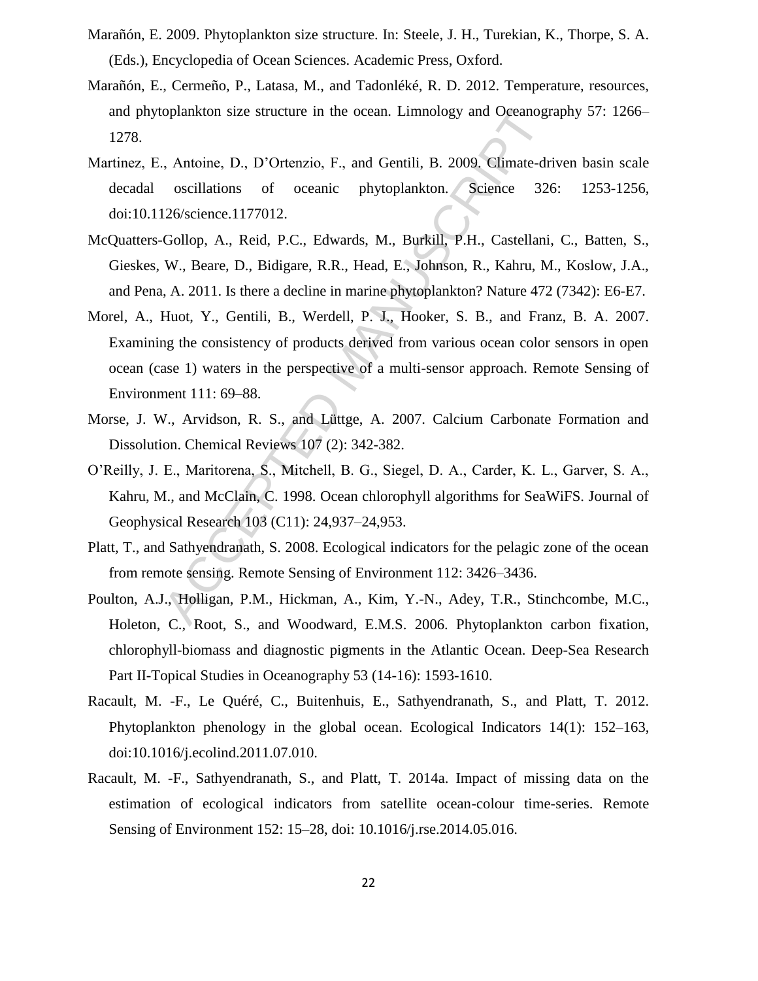- Marañón, E. 2009. Phytoplankton size structure. In: Steele, J. H., Turekian, K., Thorpe, S. A. (Eds.), Encyclopedia of Ocean Sciences. Academic Press, Oxford.
- Marañón, E., Cermeño, P., Latasa, M., and Tadonléké, R. D. 2012. Temperature, resources, and phytoplankton size structure in the ocean. Limnology and Oceanography 57: 1266– 1278.
- Martinez, E., Antoine, D., D'Ortenzio, F., and Gentili, B. 2009. Climate-driven basin scale decadal oscillations of oceanic phytoplankton. Science 326: 1253-1256, doi:10.1126/science.1177012.
- McQuatters-Gollop, A., Reid, P.C., Edwards, M., Burkill, P.H., Castellani, C., Batten, S., Gieskes, W., Beare, D., Bidigare, R.R., Head, E., Johnson, R., Kahru, M., Koslow, J.A., and Pena, A. 2011. Is there a decline in marine phytoplankton? Nature 472 (7342): E6-E7.
- oplankton size structure in the ocean. Limnology and Oceanogr<br>
, Antoine, D., D'Ortenzio, F., and Gentili, B. 2009. Climate-dri<br>
oscillations of oceanic phytoplankton. Science 324<br>
126/science.1177012.<br>
Gollop, A., Reid, P Morel, A., Huot, Y., Gentili, B., Werdell, P. J., Hooker, S. B., and Franz, B. A. 2007. Examining the consistency of products derived from various ocean color sensors in open ocean (case 1) waters in the perspective of a multi-sensor approach. Remote Sensing of Environment 111: 69–88.
- Morse, J. W., Arvidson, R. S., and Lüttge, A. 2007. Calcium Carbonate Formation and Dissolution. Chemical Reviews 107 (2): 342-382.
- O'Reilly, J. E., Maritorena, S., Mitchell, B. G., Siegel, D. A., Carder, K. L., Garver, S. A., Kahru, M., and McClain, C. 1998. Ocean chlorophyll algorithms for SeaWiFS. Journal of Geophysical Research 103 (C11): 24,937–24,953.
- Platt, T., and Sathyendranath, S. 2008. Ecological indicators for the pelagic zone of the ocean from remote sensing. Remote Sensing of Environment 112: 3426–3436.
- Poulton, A.J., Holligan, P.M., Hickman, A., Kim, Y.-N., Adey, T.R., Stinchcombe, M.C., Holeton, C., Root, S., and Woodward, E.M.S. 2006. Phytoplankton carbon fixation, chlorophyll-biomass and diagnostic pigments in the Atlantic Ocean. Deep-Sea Research Part II-Topical Studies in Oceanography 53 (14-16): 1593-1610.
- Racault, M. -F., Le Quéré, C., Buitenhuis, E., Sathyendranath, S., and Platt, T. 2012. Phytoplankton phenology in the global ocean. Ecological Indicators 14(1): 152–163, doi:10.1016/j.ecolind.2011.07.010.
- Racault, M. -F., Sathyendranath, S., and Platt, T. 2014a. Impact of missing data on the estimation of ecological indicators from satellite ocean-colour time-series. Remote Sensing of Environment 152: 15–28, doi: 10.1016/j.rse.2014.05.016.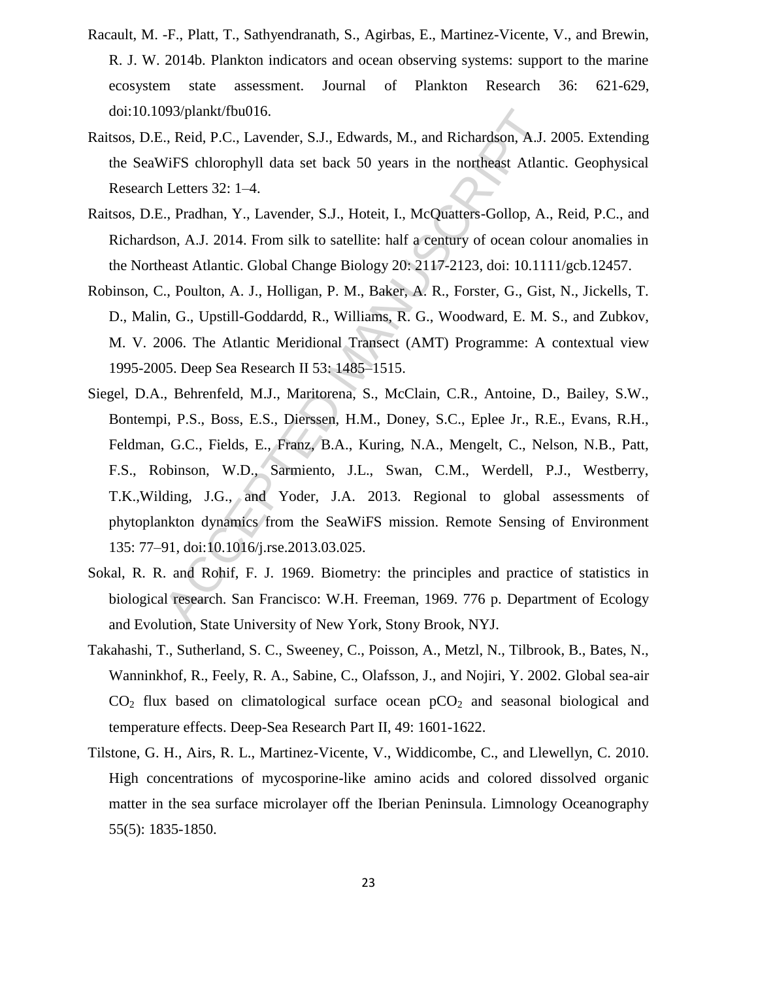- Racault, M. -F., Platt, T., Sathyendranath, S., Agirbas, E., Martinez-Vicente, V., and Brewin, R. J. W. 2014b. Plankton indicators and ocean observing systems: support to the marine ecosystem state assessment. Journal of Plankton Research 36: 621-629, doi:10.1093/plankt/fbu016.
- Raitsos, D.E., Reid, P.C., Lavender, S.J., Edwards, M., and Richardson, A.J. 2005. Extending the SeaWiFS chlorophyll data set back 50 years in the northeast Atlantic. Geophysical Research Letters 32: 1–4.
- Raitsos, D.E., Pradhan, Y., Lavender, S.J., Hoteit, I., McQuatters-Gollop, A., Reid, P.C., and Richardson, A.J. 2014. From silk to satellite: half a century of ocean colour anomalies in the Northeast Atlantic. Global Change Biology 20: 2117-2123, doi: 10.1111/gcb.12457.
- Robinson, C., Poulton, A. J., Holligan, P. M., Baker, A. R., Forster, G., Gist, N., Jickells, T. D., Malin, G., Upstill-Goddardd, R., Williams, R. G., Woodward, E. M. S., and Zubkov, M. V. 2006. The Atlantic Meridional Transect (AMT) Programme: A contextual view 1995-2005. Deep Sea Research II 53: 1485–1515.
- 993/plankt/fbu016.<br>
2, Reid, P.C., Lavender, S.J., Edwards, M., and Richardson, A.J. Z<br>
4. WiFS chlorophyll data set back 50 years in the northeast Atlant<br>
1. Letters 32: 1–4.<br>
2. Pradhan, Y., Lavender, S.J., Hoteit, I., M Siegel, D.A., Behrenfeld, M.J., Maritorena, S., McClain, C.R., Antoine, D., Bailey, S.W., Bontempi, P.S., Boss, E.S., Dierssen, H.M., Doney, S.C., Eplee Jr., R.E., Evans, R.H., Feldman, G.C., Fields, E., Franz, B.A., Kuring, N.A., Mengelt, C., Nelson, N.B., Patt, F.S., Robinson, W.D., Sarmiento, J.L., Swan, C.M., Werdell, P.J., Westberry, T.K.,Wilding, J.G., and Yoder, J.A. 2013. Regional to global assessments of phytoplankton dynamics from the SeaWiFS mission. Remote Sensing of Environment 135: 77–91, doi:10.1016/j.rse.2013.03.025.
- Sokal, R. R. and Rohif, F. J. 1969. Biometry: the principles and practice of statistics in biological research. San Francisco: W.H. Freeman, 1969. 776 p. Department of Ecology and Evolution, State University of New York, Stony Brook, NYJ.
- Takahashi, T., Sutherland, S. C., Sweeney, C., Poisson, A., Metzl, N., Tilbrook, B., Bates, N., Wanninkhof, R., Feely, R. A., Sabine, C., Olafsson, J., and Nojiri, Y. 2002. Global sea-air  $CO<sub>2</sub>$  flux based on climatological surface ocean  $pCO<sub>2</sub>$  and seasonal biological and temperature effects. Deep-Sea Research Part II, 49: 1601-1622.
- Tilstone, G. H., Airs, R. L., Martinez-Vicente, V., Widdicombe, C., and Llewellyn, C. 2010. High concentrations of mycosporine-like amino acids and colored dissolved organic matter in the sea surface microlayer off the Iberian Peninsula. Limnology Oceanography 55(5): 1835-1850.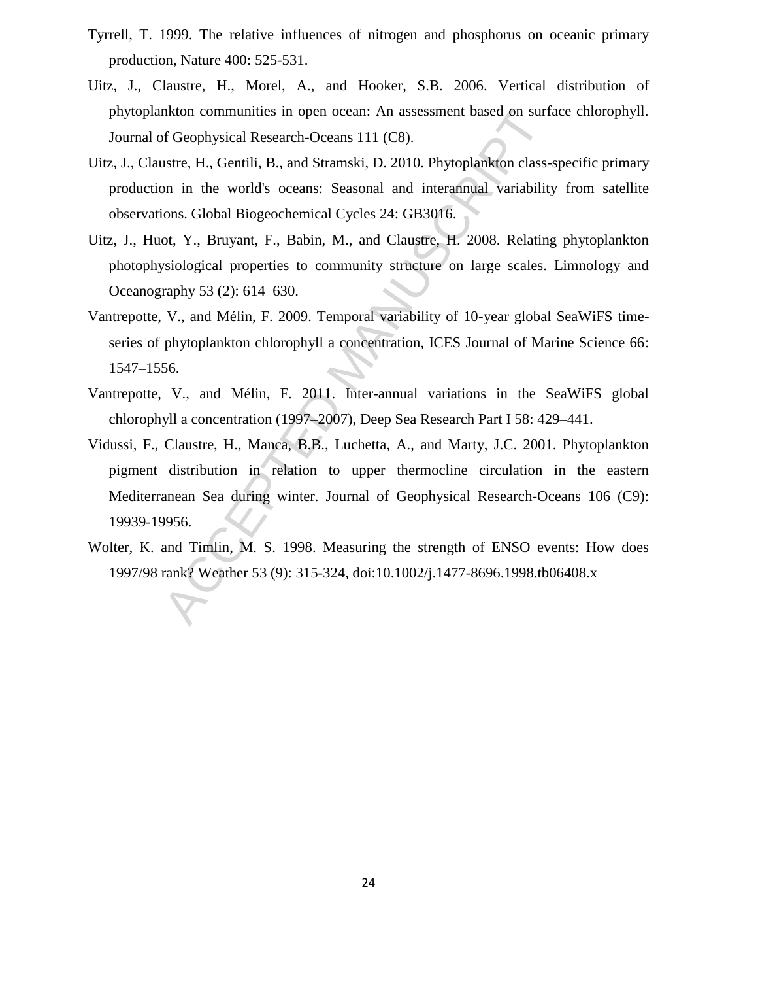- Tyrrell, T. 1999. The relative influences of nitrogen and phosphorus on oceanic primary production, Nature 400: 525-531.
- Uitz, J., Claustre, H., Morel, A., and Hooker, S.B. 2006. Vertical distribution of phytoplankton communities in open ocean: An assessment based on surface chlorophyll. Journal of Geophysical Research-Oceans 111 (C8).
- Uitz, J., Claustre, H., Gentili, B., and Stramski, D. 2010. Phytoplankton class-specific primary production in the world's oceans: Seasonal and interannual variability from satellite observations. Global Biogeochemical Cycles 24: GB3016.
- Uitz, J., Huot, Y., Bruyant, F., Babin, M., and Claustre, H. 2008. Relating phytoplankton photophysiological properties to community structure on large scales. Limnology and Oceanography 53 (2): 614–630.
- Vantrepotte, V., and Mélin, F. 2009. Temporal variability of 10-year global SeaWiFS timeseries of phytoplankton chlorophyll a concentration, ICES Journal of Marine Science 66: 1547–1556.
- Vantrepotte, V., and Mélin, F. 2011. Inter-annual variations in the SeaWiFS global chlorophyll a concentration (1997–2007), Deep Sea Research Part I 58: 429–441.
- nkton communities in open ocean: An assessment based on surfs<br>
or Geophysical Research-Oceans 111 (C8).<br>
Sister, H., Gentili, B., and Stramski, D. 2010. Phytoplankton class-<br>
on in the world's oceans: Seasonal and interann Vidussi, F., Claustre, H., Manca, B.B., Luchetta, A., and Marty, J.C. 2001. Phytoplankton pigment distribution in relation to upper thermocline circulation in the eastern Mediterranean Sea during winter. Journal of Geophysical Research-Oceans 106 (C9): 19939-19956.
- Wolter, K. and Timlin, M. S. 1998. Measuring the strength of ENSO events: How does 1997/98 rank? Weather 53 (9): 315-324, doi:10.1002/j.1477-8696.1998.tb06408.x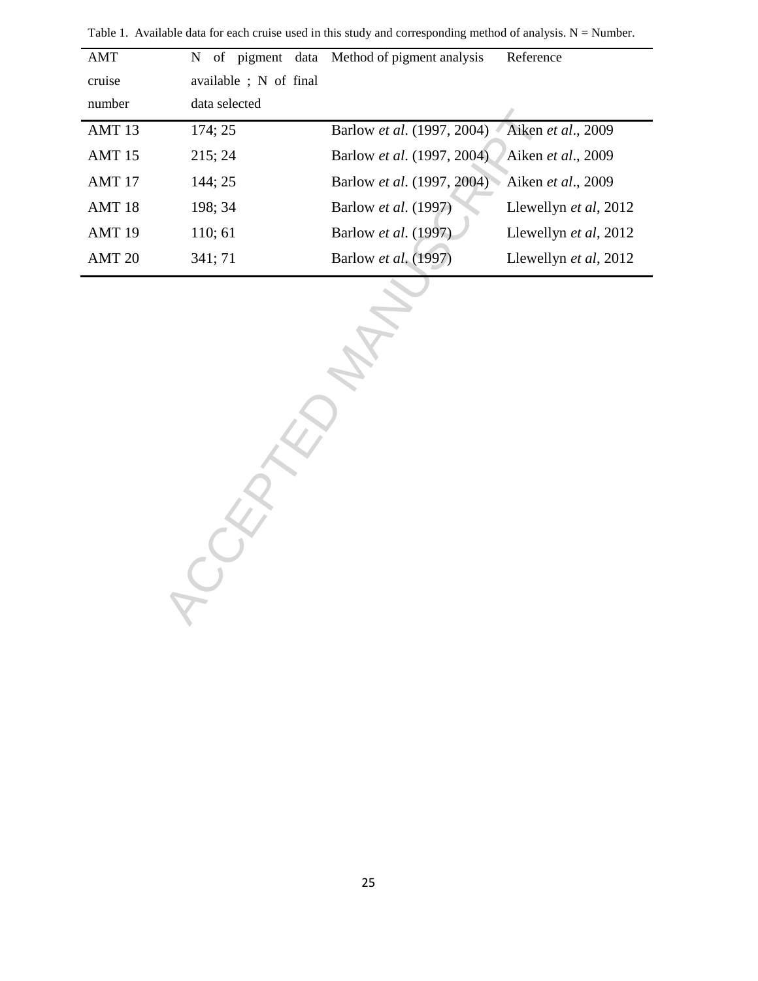| AMT               | $\mathbf N$<br>of pigment data | Method of pigment analysis | Reference             |
|-------------------|--------------------------------|----------------------------|-----------------------|
| cruise            | available ; N of final         |                            |                       |
| number            | data selected                  |                            |                       |
| AMT <sub>13</sub> | 174; 25                        | Barlow et al. (1997, 2004) | Aiken et al., 2009    |
| AMT <sub>15</sub> | 215; 24                        | Barlow et al. (1997, 2004) | Aiken et al., 2009    |
| AMT <sub>17</sub> | 144; 25                        | Barlow et al. (1997, 2004) | Aiken et al., 2009    |
| AMT <sub>18</sub> | 198; 34                        | Barlow et al. (1997)       | Llewellyn et al, 2012 |
| AMT <sub>19</sub> | 110; 61                        | Barlow et al. (1997)       | Llewellyn et al, 2012 |
| AMT <sub>20</sub> | 341; 71                        | Barlow et al. (1997)       | Llewellyn et al, 2012 |
|                   |                                |                            |                       |

j.

Table 1. Available data for each cruise used in this study and corresponding method of analysis.  $N =$  Number.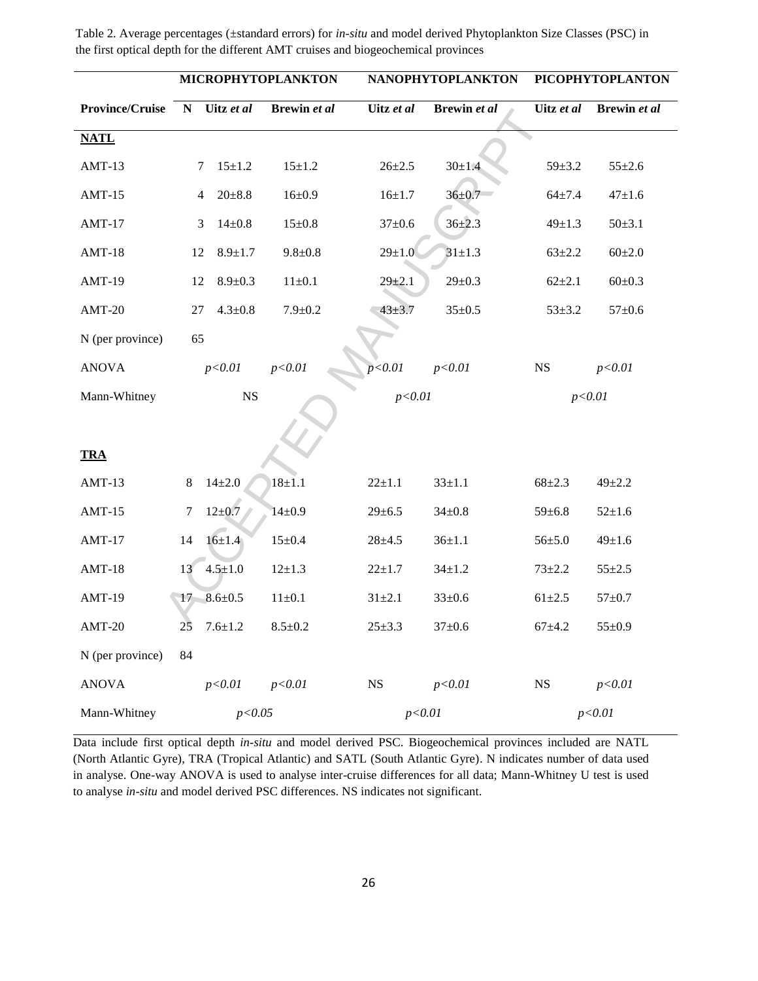|                        | <b>MICROPHYTOPLANKTON</b> |                    |               | <b>NANOPHYTOPLANKTON</b> | <b>PICOPHYTOPLANTON</b> |              |              |
|------------------------|---------------------------|--------------------|---------------|--------------------------|-------------------------|--------------|--------------|
| <b>Province/Cruise</b> | ${\bf N}$                 | Uitz et al         | Brewin et al  | Uitz et al               | Brewin et al            | Uitz et al   | Brewin et al |
| <b>NATL</b>            |                           |                    |               |                          |                         |              |              |
| $AMT-13$               | 7                         | $15 \pm 1.2$       | $15 \pm 1.2$  | $26 + 2.5$               | $30 \pm 1.4$            | $59 + 3.2$   | $55 \pm 2.6$ |
| $AMT-15$               | $\overline{4}$            | $20 \pm 8.8$       | $16 \pm 0.9$  | $16 + 1.7$               | $36 + 0.7$              | $64 + 7.4$   | $47 + 1.6$   |
| $AMT-17$               | 3                         | $14 \pm 0.8$       | $15 \pm 0.8$  | $37 \pm 0.6$             | $36 + 2.3$              | $49 \pm 1.3$ | $50 \pm 3.1$ |
| $AMT-18$               | 12                        | $8.9 \pm 1.7$      | $9.8 + 0.8$   | $29 \pm 1.0$             | $31 \pm 1.3$            | $63 \pm 2.2$ | $60 \pm 2.0$ |
| $AMT-19$               | 12                        | $8.9 \pm 0.3$      | $11\pm0.1$    | $29 + 2.1$               | $29 \pm 0.3$            | $62 + 2.1$   | $60 \pm 0.3$ |
| $AMT-20$               | 27                        | $4.3 \pm 0.8$      | $7.9 + 0.2$   | $43 + 3.7$               | $35 \pm 0.5$            | $53 \pm 3.2$ | $57 \pm 0.6$ |
| N (per province)       | 65                        |                    |               |                          |                         |              |              |
| <b>ANOVA</b>           |                           | p < 0.01           | p<0.01        | p < 0.01                 | p < 0.01                | $_{\rm NS}$  | p<0.01       |
| Mann-Whitney           | <b>NS</b>                 |                    |               | p < 0.01                 |                         |              | p < 0.01     |
|                        |                           |                    |               |                          |                         |              |              |
| <b>TRA</b>             |                           |                    |               |                          |                         |              |              |
| $AMT-13$               | $8\,$                     | $14 + 2.0$         | $18 \pm 1.1$  | $22 \pm 1.1$             | $33 \pm 1.1$            | $68 + 2.3$   | $49 + 2.2$   |
| $AMT-15$               | $\boldsymbol{7}$          | $12 \pm 0.7$       | $14 \pm 0.9$  | $29 \pm 6.5$             | $34 \pm 0.8$            | $59 \pm 6.8$ | $52 \pm 1.6$ |
| $AMT-17$               | 14                        | $16 \pm 1.4$       | $15 \pm 0.4$  | $28 + 4.5$               | $36 \pm 1.1$            | $56 + 5.0$   | $49 \pm 1.6$ |
| $AMT-18$               | 13                        | $4.5 \pm 1.0$      | $12 \pm 1.3$  | $22 + 1.7$               | $34 \pm 1.2$            | $73 + 2.2$   | $55 \pm 2.5$ |
| $AMT-19$               | 17                        | $8.6 \pm 0.5$      | $11\pm0.1$    | $31 \pm 2.1$             | $33 \pm 0.6$            | $61 + 2.5$   | $57 + 0.7$   |
| $AMT-20$               |                           | $25$ 7.6 $\pm$ 1.2 | $8.5 \pm 0.2$ | $25 \pm 3.3$             | $37{\pm}0.6$            | $67 + 4.2$   | $55 \pm 0.9$ |
| N (per province)       | 84                        |                    |               |                          |                         |              |              |
| <b>ANOVA</b>           |                           | p<0.01             | p < 0.01      | NS                       | p<0.01                  | $_{\rm NS}$  | p < 0.01     |
| Mann-Whitney           | p<0.05                    |                    |               | p<0.01                   |                         | p<0.01       |              |

Table 2. Average percentages (±standard errors) for *in-situ* and model derived Phytoplankton Size Classes (PSC) in the first optical depth for the different AMT cruises and biogeochemical provinces

Data include first optical depth *in-situ* and model derived PSC. Biogeochemical provinces included are NATL (North Atlantic Gyre), TRA (Tropical Atlantic) and SATL (South Atlantic Gyre). N indicates number of data used in analyse. One-way ANOVA is used to analyse inter-cruise differences for all data; Mann-Whitney U test is used to analyse *in-situ* and model derived PSC differences. NS indicates not significant.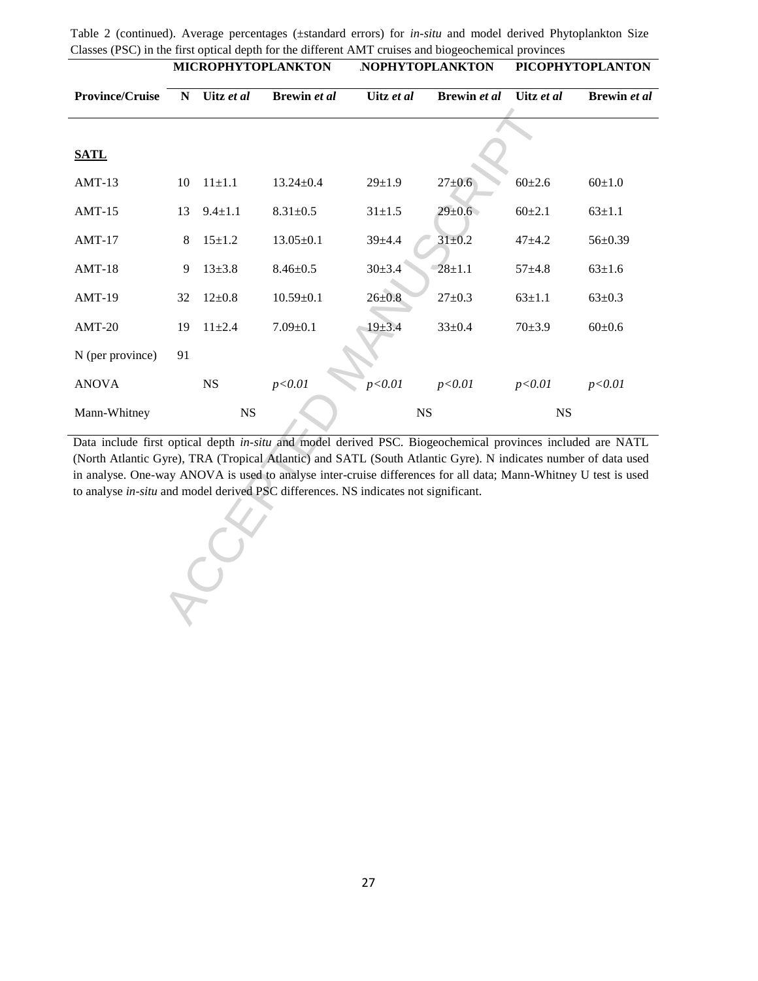|                                                                                                                 | MICROPHYTOPLANKTON |               | <b>NOPHYTOPLANKTON</b> |              | <b>PICOPHYTOPLANTON</b> |              |               |  |
|-----------------------------------------------------------------------------------------------------------------|--------------------|---------------|------------------------|--------------|-------------------------|--------------|---------------|--|
| <b>Province/Cruise</b>                                                                                          | ${\bf N}$          | Uitz et al    | Brewin et al           | Uitz et al   | Brewin et al            |              | Brewin et al  |  |
|                                                                                                                 |                    |               |                        |              |                         |              |               |  |
| <b>SATL</b>                                                                                                     |                    |               |                        |              |                         |              |               |  |
| $AMT-13$                                                                                                        | 10                 | $11 \pm 1.1$  | $13.24 \pm 0.4$        | $29 + 1.9$   | $27 + 0.6$              | $60 \pm 2.6$ | $60 \pm 1.0$  |  |
| $AMT-15$                                                                                                        | 13                 | $9.4 \pm 1.1$ | $8.31 \pm 0.5$         | $31 \pm 1.5$ | $29 \pm 0.6$            | $60+2.1$     | $63 \pm 1.1$  |  |
| $AMT-17$                                                                                                        | 8                  | $15 \pm 1.2$  | $13.05 \pm 0.1$        | $39 + 4.4$   | $31 \pm 0.2$            |              | $56 \pm 0.39$ |  |
| $AMT-18$                                                                                                        | 9                  | $13 \pm 3.8$  | $8.46 \pm 0.5$         | $30 + 3.4$   | $28 + 1.1$              | $57 + 4.8$   | $63 \pm 1.6$  |  |
| AMT-19                                                                                                          | 32                 | $12 \pm 0.8$  | $10.59 \pm 0.1$        | $26 \pm 0.8$ | $27 \pm 0.3$            | $63 \pm 1.1$ | $63 \pm 0.3$  |  |
| $AMT-20$                                                                                                        | 19                 | $11 \pm 2.4$  | $7.09 \pm 0.1$         | $19 + 3.4$   | $33 \pm 0.4$            | $70 + 3.9$   | $60 \pm 0.6$  |  |
| N (per province)                                                                                                | 91                 |               |                        |              |                         |              |               |  |
| <b>ANOVA</b>                                                                                                    |                    | NS            | p < 0.01               | p < 0.01     | p<0.01                  | p < 0.01     | p < 0.01      |  |
| Mann-Whitney                                                                                                    | <b>NS</b>          |               | $_{\rm NS}$            |              | $_{\rm NS}$             |              |               |  |
| Data include first optical depth in-situ and model derived PSC. Biogeochemical provinces included are NATL      |                    |               |                        |              |                         |              |               |  |
| (North Atlantic Gyre), TRA (Tropical Atlantic) and SATL (South Atlantic Gyre). N indicates number of data used  |                    |               |                        |              |                         |              |               |  |
| in analyse. One-way ANOVA is used to analyse inter-cruise differences for all data; Mann-Whitney U test is used |                    |               |                        |              |                         |              |               |  |
| to analyse in-situ and model derived PSC differences. NS indicates not significant.                             |                    |               |                        |              |                         |              |               |  |
|                                                                                                                 |                    |               |                        |              |                         |              |               |  |
|                                                                                                                 |                    |               |                        |              |                         |              |               |  |
|                                                                                                                 |                    |               |                        |              |                         |              |               |  |
|                                                                                                                 |                    |               |                        |              |                         |              |               |  |
|                                                                                                                 |                    |               |                        |              |                         |              |               |  |

Table 2 (continued). Average percentages (±standard errors) for *in-situ* and model derived Phytoplankton Size Classes (PSC) in the first optical depth for the different AMT cruises and biogeochemical provinces<br>MICROPHYTOPI ANKTON NOPHYTOPI ANETON PICOPHY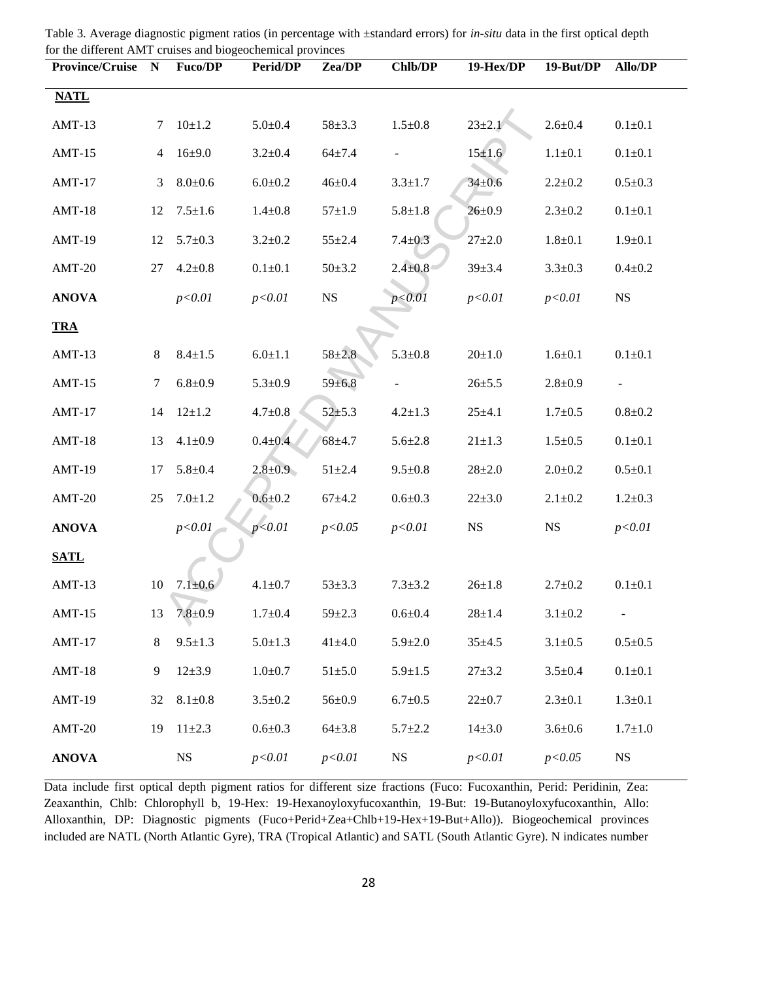| Province/Cruise N |        | <b>Fuco/DP</b> | <b>Perid/DP</b> | Zea/DP       | <b>Chlb/DP</b> | 19-Hex/DP    | 19-But/DP     | <b>Allo/DP</b> |
|-------------------|--------|----------------|-----------------|--------------|----------------|--------------|---------------|----------------|
| <b>NATL</b>       |        |                |                 |              |                |              |               |                |
| $AMT-13$          | 7      | $10+1.2$       | $5.0 \pm 0.4$   | $58 + 3.3$   | $1.5 \pm 0.8$  | $23 \pm 2.1$ | $2.6 \pm 0.4$ | $0.1 + 0.1$    |
| $AMT-15$          | 4      | $16 + 9.0$     | $3.2 \pm 0.4$   | $64 + 7.4$   |                | $15 + 1.6$   | $1.1 \pm 0.1$ | $0.1 + 0.1$    |
| $AMT-17$          | 3      | $8.0 + 0.6$    | $6.0 + 0.2$     | $46\pm0.4$   | $3.3 \pm 1.7$  | $34 + 0.6$   | $2.2 \pm 0.2$ | $0.5 \pm 0.3$  |
| $AMT-18$          | 12     | $7.5 \pm 1.6$  | $1.4 \pm 0.8$   | $57 + 1.9$   | $5.8 + 1.8$    | $26 \pm 0.9$ | $2.3 \pm 0.2$ | $0.1 + 0.1$    |
| $AMT-19$          | 12     | $5.7 \pm 0.3$  | $3.2 \pm 0.2$   | $55 + 2.4$   | $7.4 \pm 0.3$  | $27 \pm 2.0$ | $1.8 + 0.1$   | $1.9 \pm 0.1$  |
| $AMT-20$          | 27     | $4.2 \pm 0.8$  | $0.1 \pm 0.1$   | $50 + 3.2$   | $2.4 + 0.8$    | $39 + 3.4$   | $3.3 \pm 0.3$ | $0.4 \pm 0.2$  |
| <b>ANOVA</b>      |        | p<0.01         | p<0.01          | NS           | p < 0.01       | p<0.01       | p < 0.01      | <b>NS</b>      |
| <b>TRA</b>        |        |                |                 |              |                |              |               |                |
| $AMT-13$          | 8      | $8.4 \pm 1.5$  | $6.0 \pm 1.1$   | $58 + 2.8$   | $5.3 \pm 0.8$  | $20 \pm 1.0$ | $1.6 \pm 0.1$ | $0.1 + 0.1$    |
| $AMT-15$          | $\tau$ | $6.8 + 0.9$    | $5.3 \pm 0.9$   | $59 + 6.8$   |                | $26 + 5.5$   | $2.8 + 0.9$   |                |
| $AMT-17$          | 14     | $12 \pm 1.2$   | $4.7 \pm 0.8$   | $52 + 5.3$   | $4.2 \pm 1.3$  | $25 + 4.1$   | $1.7 \pm 0.5$ | $0.8 + 0.2$    |
| $AMT-18$          | 13     | $4.1 \pm 0.9$  | $0.4 + 0.4$     | $68 + 4.7$   | $5.6 \pm 2.8$  | $21 \pm 1.3$ | $1.5 \pm 0.5$ | $0.1 + 0.1$    |
| $AMT-19$          | 17     | $5.8{\pm}0.4$  | $2.8 \pm 0.9$   | $51 \pm 2.4$ | $9.5 \pm 0.8$  | $28 + 2.0$   | $2.0 \pm 0.2$ | $0.5 \pm 0.1$  |
| $AMT-20$          | 25     | $7.0 \pm 1.2$  | $0.6 + 0.2$     | $67 + 4.2$   | $0.6 + 0.3$    | $22 \pm 3.0$ | $2.1 \pm 0.2$ | $1.2 \pm 0.3$  |
| <b>ANOVA</b>      |        | p<0.01         | p < 0.01        | p<0.05       | p < 0.01       | <b>NS</b>    | <b>NS</b>     | p < 0.01       |
| <b>SATL</b>       |        |                |                 |              |                |              |               |                |
| $AMT-13$          | 10     | $7.1 \pm 0.6$  | $4.1 \pm 0.7$   | $53 \pm 3.3$ | $7.3 \pm 3.2$  | $26 \pm 1.8$ | $2.7 \pm 0.2$ | $0.1 + 0.1$    |
| $AMT-15$          | 13     | $7.8 + 0.9$    | $1.7 + 0.4$     | $59 + 2.3$   | $0.6 + 0.4$    | $28 + 1.4$   | $3.1 \pm 0.2$ | $\Box$         |
| $AMT-17$          | 8      | $9.5 \pm 1.3$  | $5.0 \pm 1.3$   | $41 + 4.0$   | $5.9 \pm 2.0$  | $35 + 4.5$   | $3.1 \pm 0.5$ | $0.5 + 0.5$    |
| $AMT-18$          | 9      | $12 \pm 3.9$   | $1.0 + 0.7$     | $51 \pm 5.0$ | $5.9 \pm 1.5$  | $27 + 3.2$   | $3.5 \pm 0.4$ | $0.1 + 0.1$    |
| $AMT-19$          | 32     | $8.1 \pm 0.8$  | $3.5 \pm 0.2$   | $56 \pm 0.9$ | $6.7 \pm 0.5$  | $22 \pm 0.7$ | $2.3 \pm 0.1$ | $1.3 \pm 0.1$  |
| $AMT-20$          | 19     | $11 \pm 2.3$   | $0.6 + 0.3$     | $64{\pm}3.8$ | $5.7 \pm 2.2$  | $14 \pm 3.0$ | $3.6 + 0.6$   | $1.7 + 1.0$    |
| <b>ANOVA</b>      |        | $_{\rm NS}$    | p<0.01          | p<0.01       | <b>NS</b>      | p < 0.01     | p < 0.05      | $_{\rm NS}$    |

Table 3. Average diagnostic pigment ratios (in percentage with ±standard errors) for *in-situ* data in the first optical depth for the different AMT cruises and biogeochemical provinces

Data include first optical depth pigment ratios for different size fractions (Fuco: Fucoxanthin, Perid: Peridinin, Zea: Zeaxanthin, Chlb: Chlorophyll b, 19-Hex: 19-Hexanoyloxyfucoxanthin, 19-But: 19-Butanoyloxyfucoxanthin, Allo: Alloxanthin, DP: Diagnostic pigments (Fuco+Perid+Zea+Chlb+19-Hex+19-But+Allo)). Biogeochemical provinces included are NATL (North Atlantic Gyre), TRA (Tropical Atlantic) and SATL (South Atlantic Gyre). N indicates number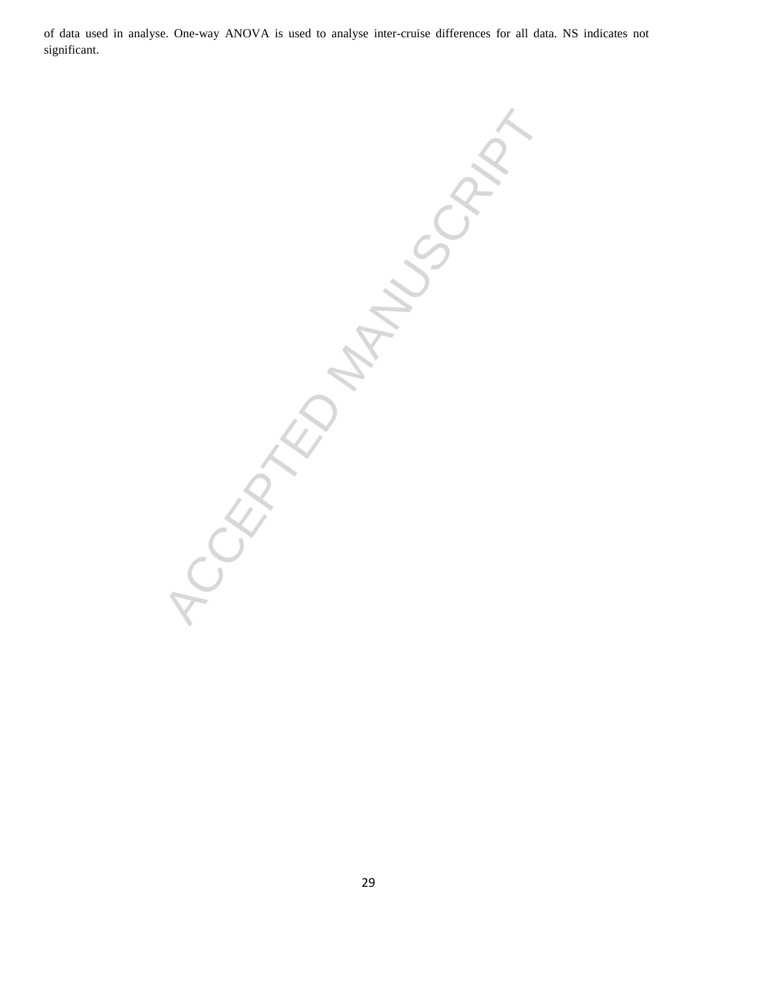of data used in analyse. One-way ANOVA is used to analyse inter-cruise differences for all data. NS indicates not significant.

ACCEPTED MANUSCRIPT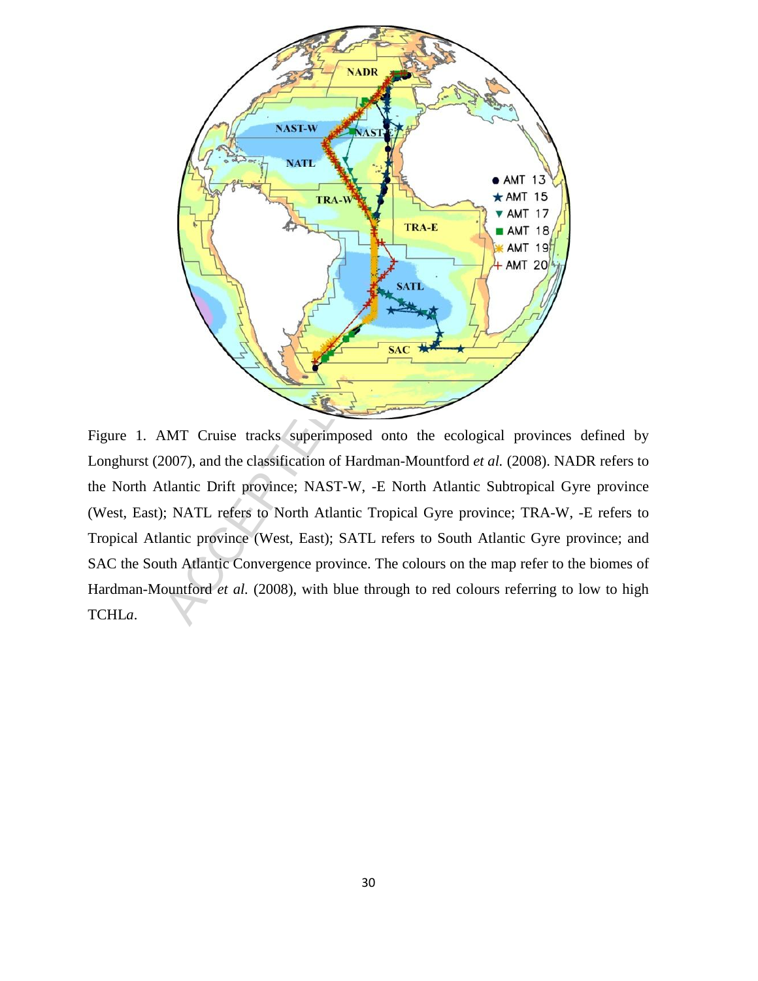

Figure 1. AMT Cruise tracks superimposed onto the ecological provinces defined by Longhurst (2007), and the classification of Hardman-Mountford *et al.* (2008). NADR refers to the North Atlantic Drift province; NAST-W, -E North Atlantic Subtropical Gyre province (West, East); NATL refers to North Atlantic Tropical Gyre province; TRA-W, -E refers to Tropical Atlantic province (West, East); SATL refers to South Atlantic Gyre province; and SAC the South Atlantic Convergence province. The colours on the map refer to the biomes of Hardman-Mountford *et al.* (2008), with blue through to red colours referring to low to high TCHL*a*.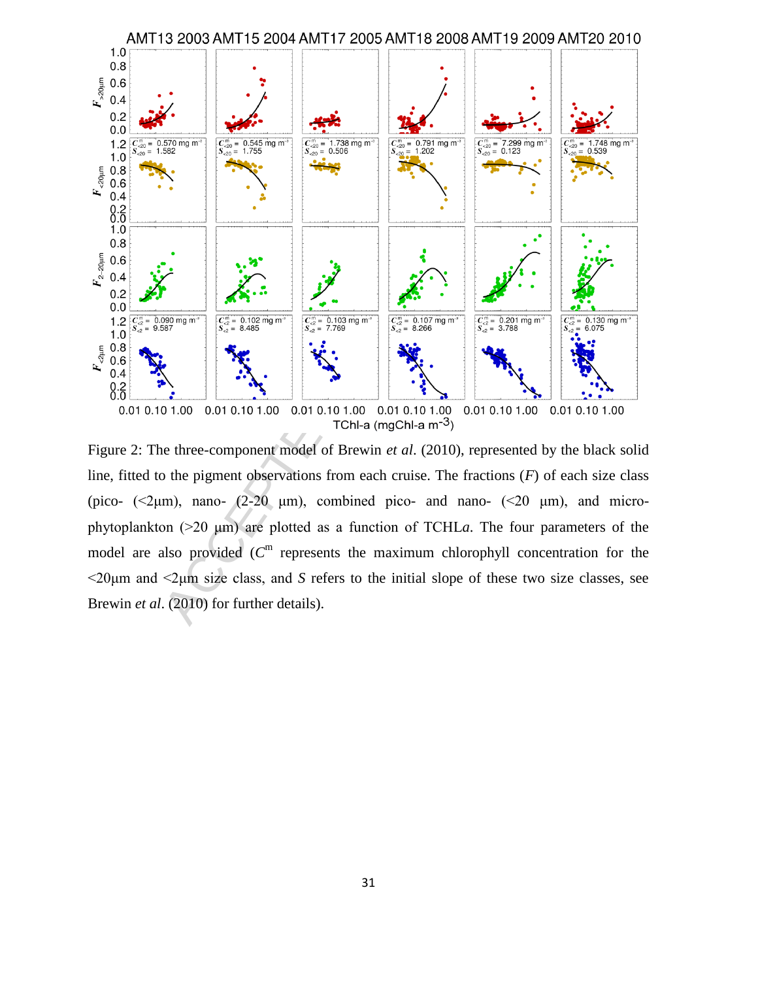

Figure 2: The three-component model of Brewin *et al*. (2010), represented by the black solid line, fitted to the pigment observations from each cruise. The fractions (*F*) of each size class (pico-  $(\leq 2 \mu m)$ , nano-  $(2-20 \mu m)$ , combined pico- and nano-  $(\leq 20 \mu m)$ , and microphytoplankton  $(20 \mu m)$  are plotted as a function of TCHLa. The four parameters of the model are also provided  $(C<sup>m</sup>$  represents the maximum chlorophyll concentration for the  $\leq$ 20 $\mu$ m and  $\leq$  $\mu$ m size class, and S refers to the initial slope of these two size classes, see Brewin *et al*. (2010) for further details).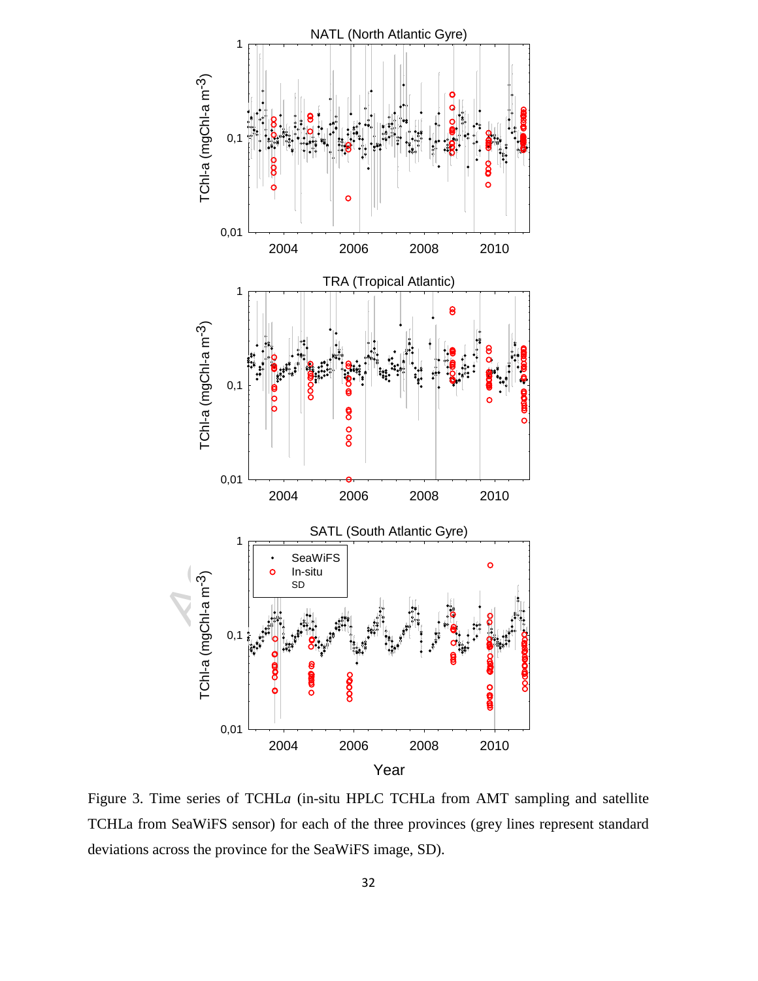

Figure 3. Time series of TCHL*a* (in-situ HPLC TCHLa from AMT sampling and satellite TCHLa from SeaWiFS sensor) for each of the three provinces (grey lines represent standard deviations across the province for the SeaWiFS image, SD).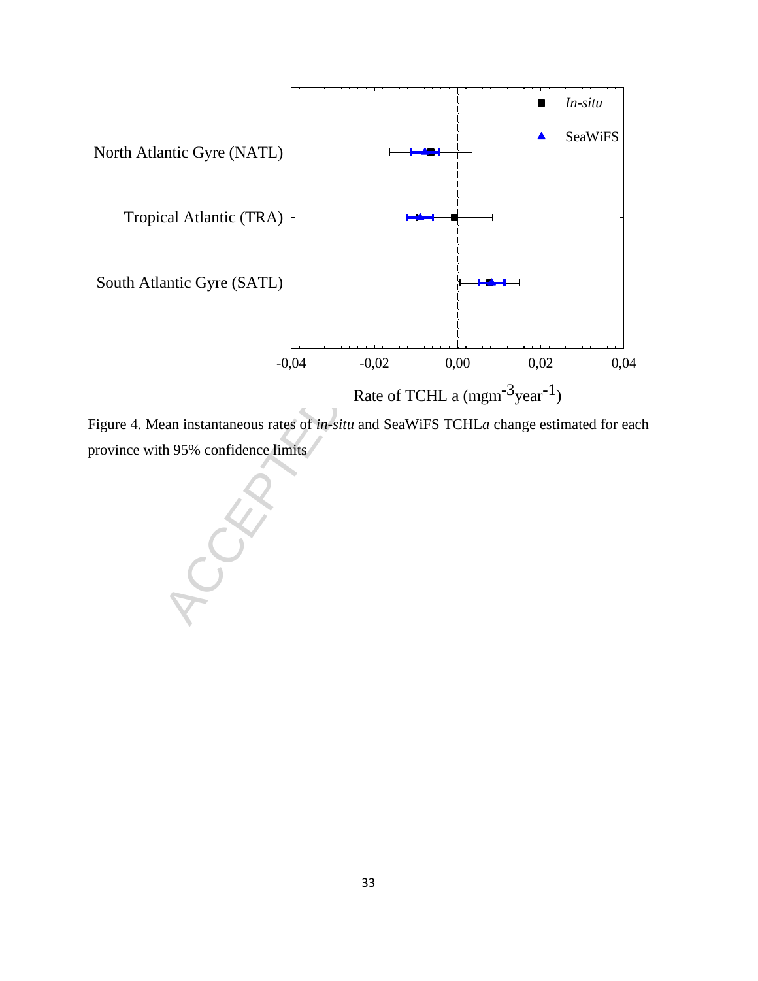

Figure 4. Mean instantaneous rates of *in-situ* and SeaWiFS TCHL*a* change estimated for each province with 95% confidence limits

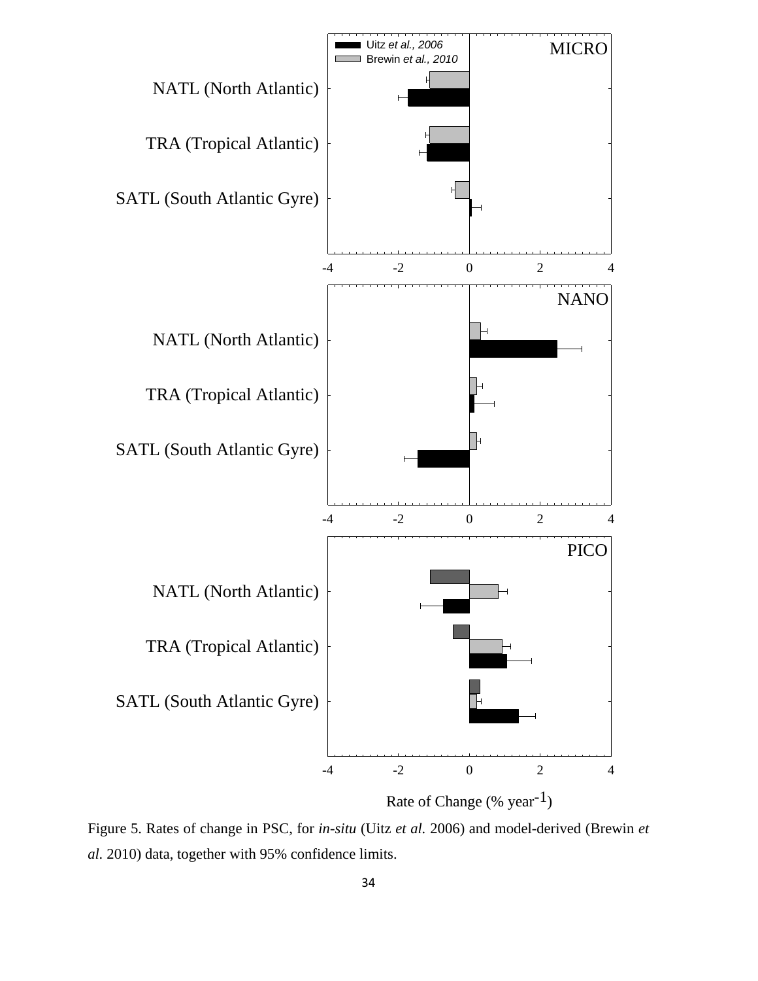

Figure 5. Rates of change in PSC, for *in-situ* (Uitz *et al.* 2006) and model-derived (Brewin *et al.* 2010) data, together with 95% confidence limits.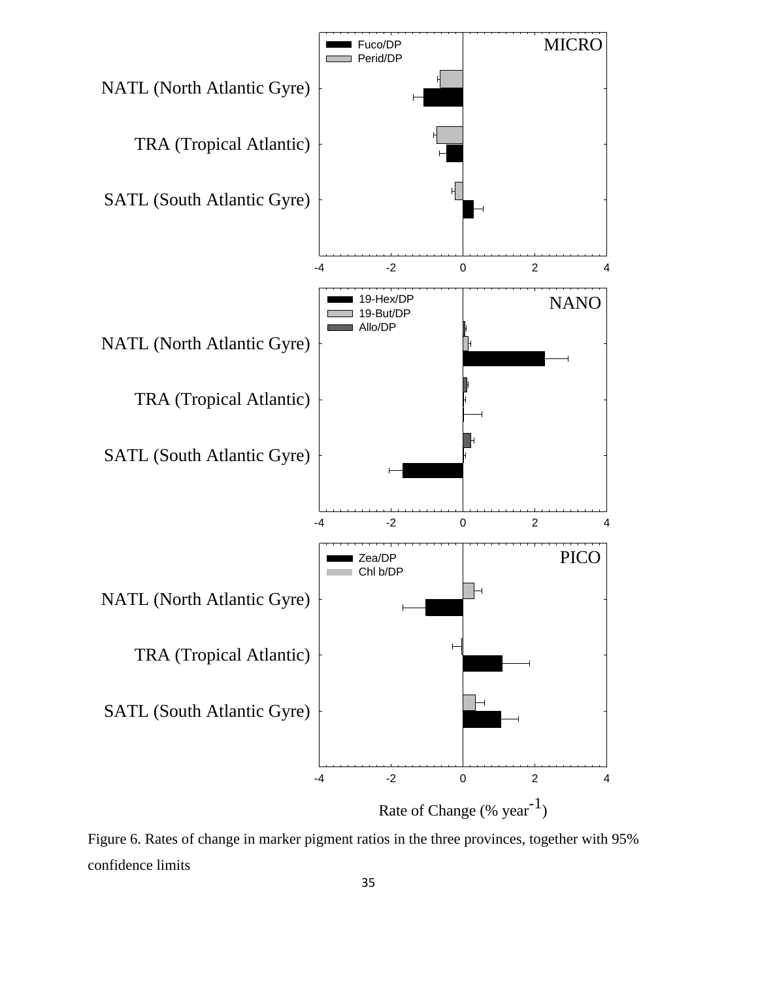

Figure 6. Rates of change in marker pigment ratios in the three provinces, together with 95% confidence limits